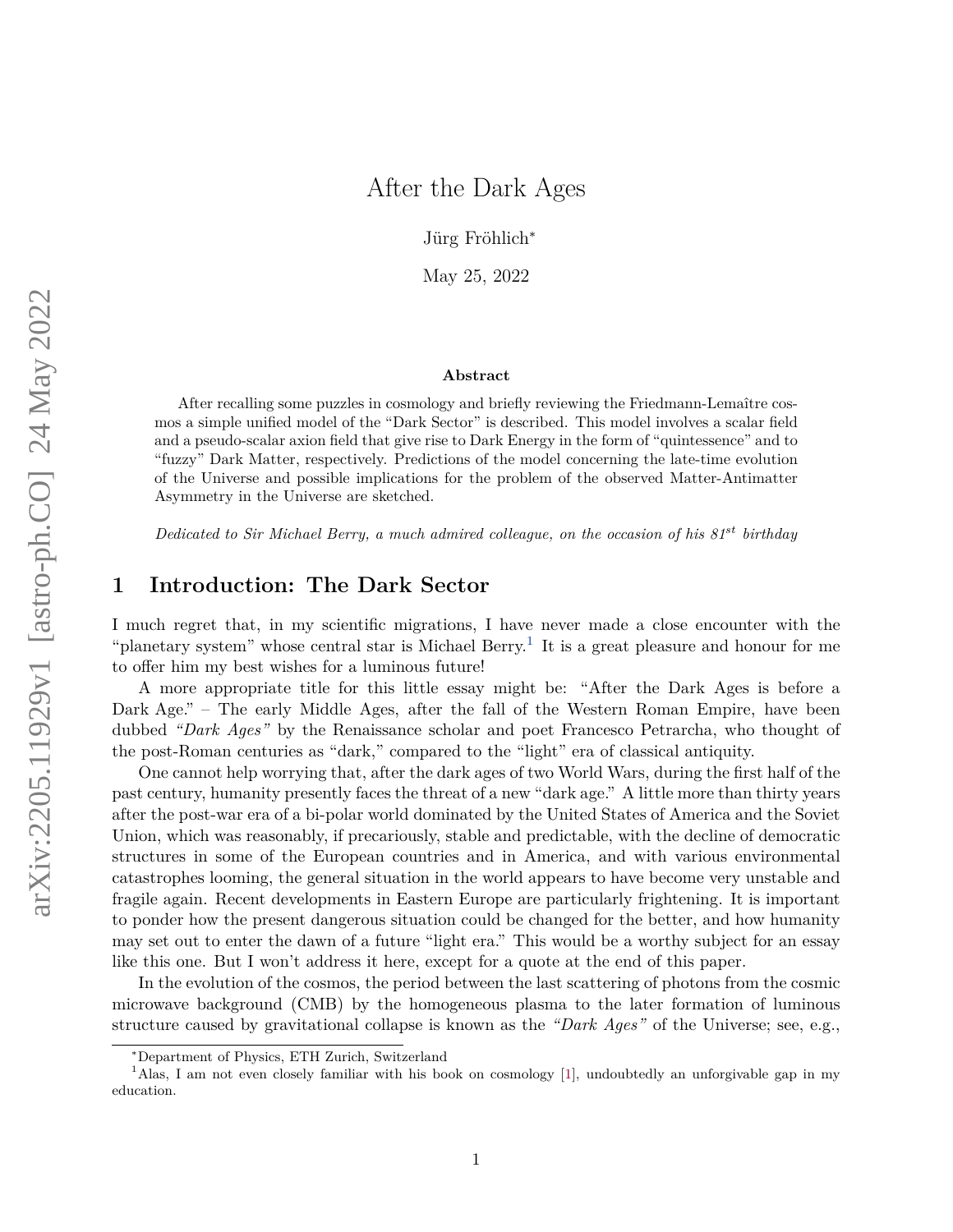# After the Dark Ages

Jürg Fröhlich<sup>∗</sup>

May 25, 2022

#### **Abstract**

After recalling some puzzles in cosmology and briefly reviewing the Friedmann-Lemaître cosmos a simple unified model of the "Dark Sector" is described. This model involves a scalar field and a pseudo-scalar axion field that give rise to Dark Energy in the form of "quintessence" and to "fuzzy" Dark Matter, respectively. Predictions of the model concerning the late-time evolution of the Universe and possible implications for the problem of the observed Matter-Antimatter Asymmetry in the Universe are sketched.

*Dedicated to Sir Michael Berry, a much admired colleague, on the occasion of his 81st birthday*

## **1 Introduction: The Dark Sector**

I much regret that, in my scientific migrations, I have never made a close encounter with the "planetary system" whose central star is Michael Berry.<sup>[1](#page-0-0)</sup> It is a great pleasure and honour for me to offer him my best wishes for a luminous future!

A more appropriate title for this little essay might be: "After the Dark Ages is before a Dark Age." – The early Middle Ages, after the fall of the Western Roman Empire, have been dubbed *"Dark Ages"* by the Renaissance scholar and poet Francesco Petrarcha, who thought of the post-Roman centuries as "dark," compared to the "light" era of classical antiquity.

One cannot help worrying that, after the dark ages of two World Wars, during the first half of the past century, humanity presently faces the threat of a new "dark age." A little more than thirty years after the post-war era of a bi-polar world dominated by the United States of America and the Soviet Union, which was reasonably, if precariously, stable and predictable, with the decline of democratic structures in some of the European countries and in America, and with various environmental catastrophes looming, the general situation in the world appears to have become very unstable and fragile again. Recent developments in Eastern Europe are particularly frightening. It is important to ponder how the present dangerous situation could be changed for the better, and how humanity may set out to enter the dawn of a future "light era." This would be a worthy subject for an essay like this one. But I won't address it here, except for a quote at the end of this paper.

In the evolution of the cosmos, the period between the last scattering of photons from the cosmic microwave background (CMB) by the homogeneous plasma to the later formation of luminous structure caused by gravitational collapse is known as the *"Dark Ages"* of the Universe; see, e.g.,

<span id="page-0-0"></span><sup>∗</sup>Department of Physics, ETH Zurich, Switzerland

<sup>1</sup>Alas, I am not even closely familiar with his book on cosmology [\[1\]](#page-13-0), undoubtedly an unforgivable gap in my education.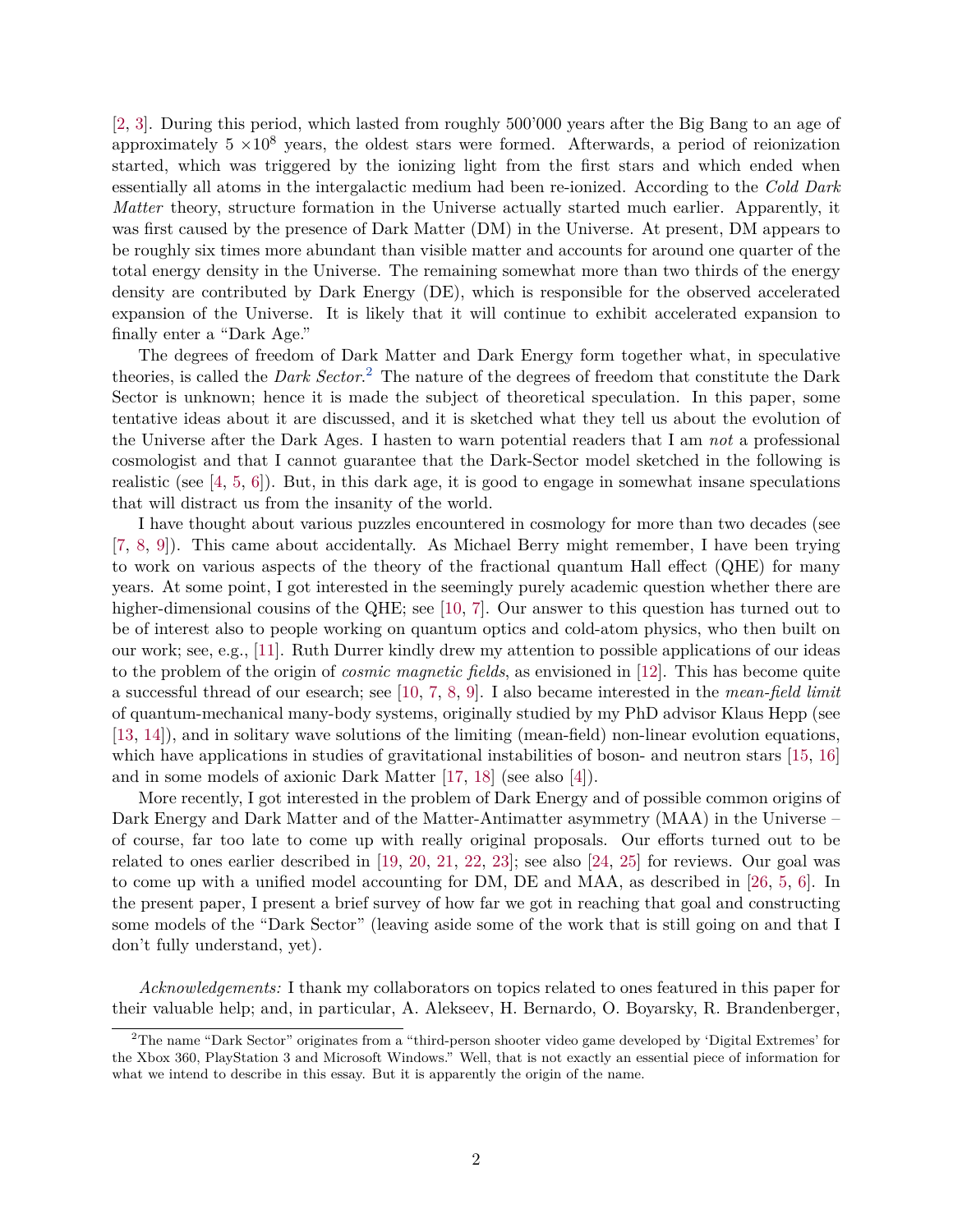[\[2,](#page-13-1) [3\]](#page-13-2). During this period, which lasted from roughly 500'000 years after the Big Bang to an age of approximately  $5 \times 10^8$  years, the oldest stars were formed. Afterwards, a period of reionization started, which was triggered by the ionizing light from the first stars and which ended when essentially all atoms in the intergalactic medium had been re-ionized. According to the *Cold Dark Matter* theory, structure formation in the Universe actually started much earlier. Apparently, it was first caused by the presence of Dark Matter (DM) in the Universe. At present, DM appears to be roughly six times more abundant than visible matter and accounts for around one quarter of the total energy density in the Universe. The remaining somewhat more than two thirds of the energy density are contributed by Dark Energy (DE), which is responsible for the observed accelerated expansion of the Universe. It is likely that it will continue to exhibit accelerated expansion to finally enter a "Dark Age."

The degrees of freedom of Dark Matter and Dark Energy form together what, in speculative theories, is called the *Dark Sector*. [2](#page-1-0) The nature of the degrees of freedom that constitute the Dark Sector is unknown; hence it is made the subject of theoretical speculation. In this paper, some tentative ideas about it are discussed, and it is sketched what they tell us about the evolution of the Universe after the Dark Ages. I hasten to warn potential readers that I am *not* a professional cosmologist and that I cannot guarantee that the Dark-Sector model sketched in the following is realistic (see  $[4, 5, 6]$  $[4, 5, 6]$  $[4, 5, 6]$  $[4, 5, 6]$  $[4, 5, 6]$ ). But, in this dark age, it is good to engage in somewhat insane speculations that will distract us from the insanity of the world.

I have thought about various puzzles encountered in cosmology for more than two decades (see [\[7,](#page-13-6) [8,](#page-14-0) [9\]](#page-14-1)). This came about accidentally. As Michael Berry might remember, I have been trying to work on various aspects of the theory of the fractional quantum Hall effect (QHE) for many years. At some point, I got interested in the seemingly purely academic question whether there are higher-dimensional cousins of the QHE; see [\[10,](#page-14-2) [7\]](#page-13-6). Our answer to this question has turned out to be of interest also to people working on quantum optics and cold-atom physics, who then built on our work; see, e.g., [\[11\]](#page-14-3). Ruth Durrer kindly drew my attention to possible applications of our ideas to the problem of the origin of *cosmic magnetic fields*, as envisioned in [\[12\]](#page-14-4). This has become quite a successful thread of our esearch; see [\[10,](#page-14-2) [7,](#page-13-6) [8,](#page-14-0) [9\]](#page-14-1). I also became interested in the *mean-field limit* of quantum-mechanical many-body systems, originally studied by my PhD advisor Klaus Hepp (see [\[13,](#page-14-5) [14\]](#page-14-6)), and in solitary wave solutions of the limiting (mean-field) non-linear evolution equations, which have applications in studies of gravitational instabilities of boson- and neutron stars [\[15,](#page-14-7) [16\]](#page-14-8) and in some models of axionic Dark Matter [\[17,](#page-14-9) [18\]](#page-14-10) (see also [\[4\]](#page-13-3)).

More recently, I got interested in the problem of Dark Energy and of possible common origins of Dark Energy and Dark Matter and of the Matter-Antimatter asymmetry (MAA) in the Universe – of course, far too late to come up with really original proposals. Our efforts turned out to be related to ones earlier described in [\[19,](#page-14-11) [20,](#page-14-12) [21,](#page-14-13) [22,](#page-14-14) [23\]](#page-14-15); see also [\[24,](#page-14-16) [25\]](#page-15-0) for reviews. Our goal was to come up with a unified model accounting for DM, DE and MAA, as described in [\[26,](#page-15-1) [5,](#page-13-4) [6\]](#page-13-5). In the present paper, I present a brief survey of how far we got in reaching that goal and constructing some models of the "Dark Sector" (leaving aside some of the work that is still going on and that I don't fully understand, yet).

*Acknowledgements:* I thank my collaborators on topics related to ones featured in this paper for their valuable help; and, in particular, A. Alekseev, H. Bernardo, O. Boyarsky, R. Brandenberger,

<span id="page-1-0"></span><sup>2</sup>The name "Dark Sector" originates from a "third-person shooter video game developed by 'Digital Extremes' for the Xbox 360, PlayStation 3 and Microsoft Windows." Well, that is not exactly an essential piece of information for what we intend to describe in this essay. But it is apparently the origin of the name.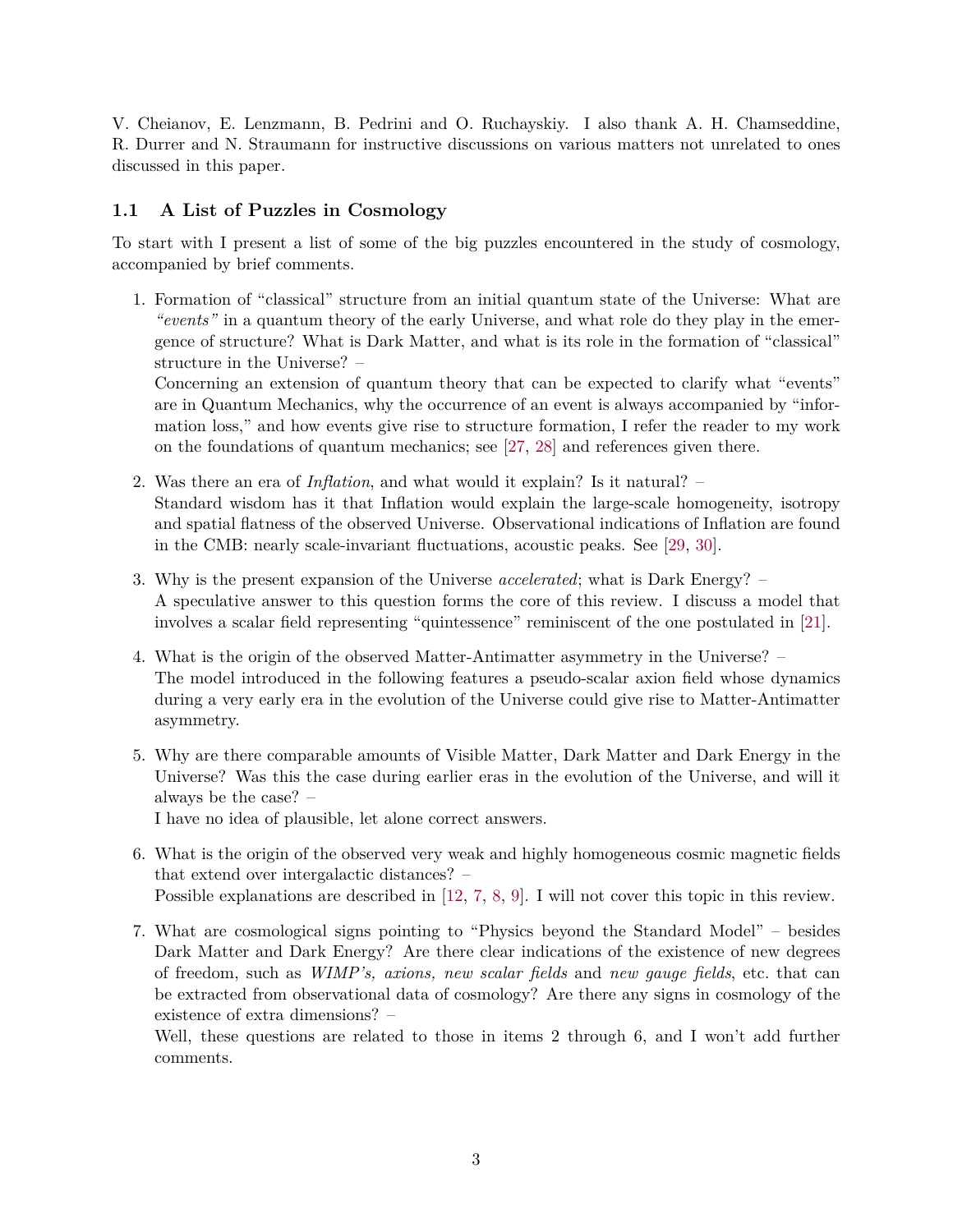V. Cheianov, E. Lenzmann, B. Pedrini and O. Ruchayskiy. I also thank A. H. Chamseddine, R. Durrer and N. Straumann for instructive discussions on various matters not unrelated to ones discussed in this paper.

### **1.1 A List of Puzzles in Cosmology**

To start with I present a list of some of the big puzzles encountered in the study of cosmology, accompanied by brief comments.

1. Formation of "classical" structure from an initial quantum state of the Universe: What are *"events"* in a quantum theory of the early Universe, and what role do they play in the emergence of structure? What is Dark Matter, and what is its role in the formation of "classical" structure in the Universe? –

Concerning an extension of quantum theory that can be expected to clarify what "events" are in Quantum Mechanics, why the occurrence of an event is always accompanied by "information loss," and how events give rise to structure formation, I refer the reader to my work on the foundations of quantum mechanics; see [\[27,](#page-15-2) [28\]](#page-15-3) and references given there.

- 2. Was there an era of *Inflation*, and what would it explain? Is it natural? Standard wisdom has it that Inflation would explain the large-scale homogeneity, isotropy and spatial flatness of the observed Universe. Observational indications of Inflation are found in the CMB: nearly scale-invariant fluctuations, acoustic peaks. See [\[29,](#page-15-4) [30\]](#page-15-5).
- 3. Why is the present expansion of the Universe *accelerated*; what is Dark Energy? A speculative answer to this question forms the core of this review. I discuss a model that involves a scalar field representing "quintessence" reminiscent of the one postulated in [\[21\]](#page-14-13).
- 4. What is the origin of the observed Matter-Antimatter asymmetry in the Universe? The model introduced in the following features a pseudo-scalar axion field whose dynamics during a very early era in the evolution of the Universe could give rise to Matter-Antimatter asymmetry.
- 5. Why are there comparable amounts of Visible Matter, Dark Matter and Dark Energy in the Universe? Was this the case during earlier eras in the evolution of the Universe, and will it always be the case? –

I have no idea of plausible, let alone correct answers.

- 6. What is the origin of the observed very weak and highly homogeneous cosmic magnetic fields that extend over intergalactic distances? – Possible explanations are described in [\[12,](#page-14-4) [7,](#page-13-6) [8,](#page-14-0) [9\]](#page-14-1). I will not cover this topic in this review.
- 7. What are cosmological signs pointing to "Physics beyond the Standard Model" besides Dark Matter and Dark Energy? Are there clear indications of the existence of new degrees of freedom, such as *WIMP's, axions, new scalar fields* and *new gauge fields*, etc. that can be extracted from observational data of cosmology? Are there any signs in cosmology of the existence of extra dimensions? –

Well, these questions are related to those in items 2 through 6, and I won't add further comments.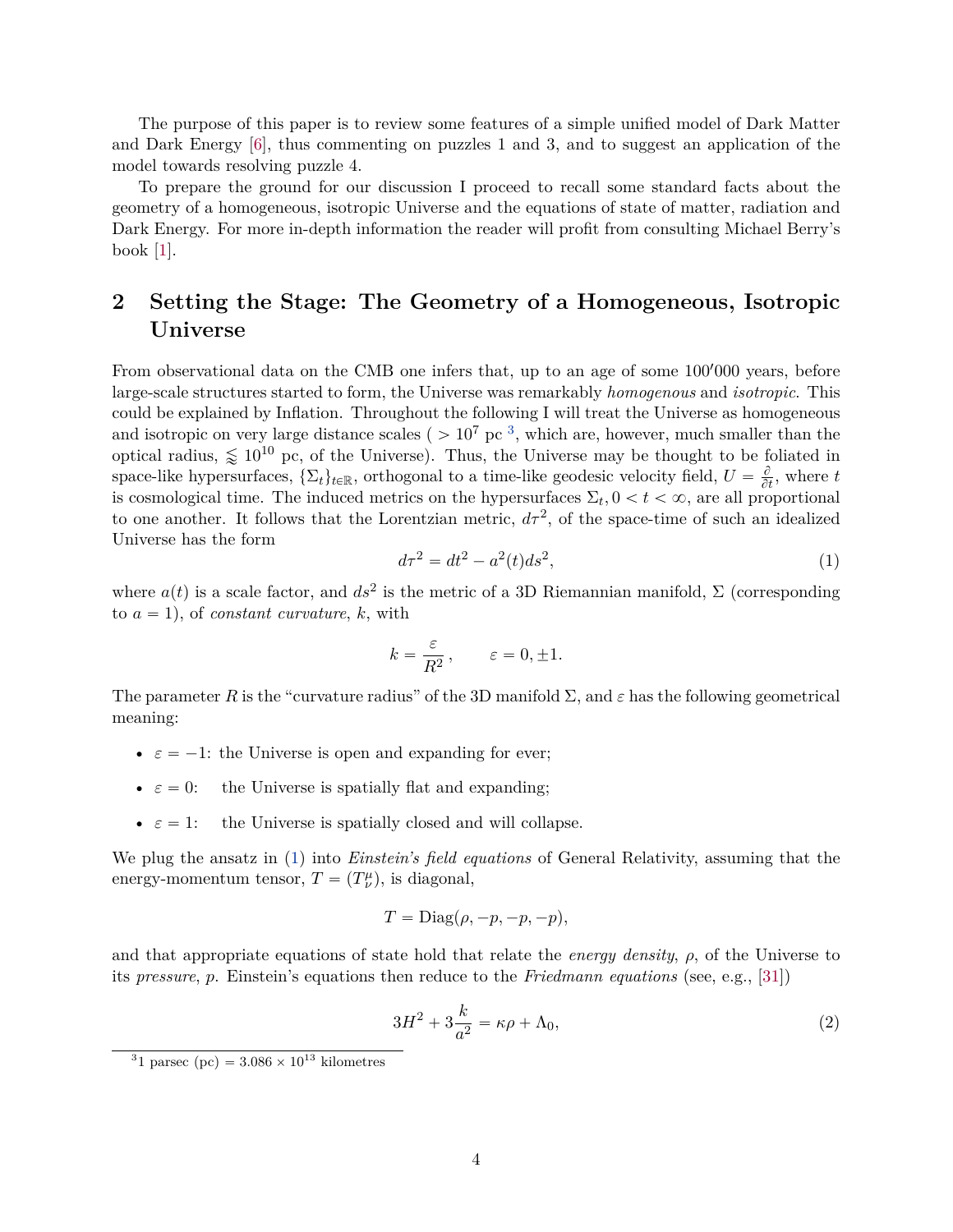The purpose of this paper is to review some features of a simple unified model of Dark Matter and Dark Energy [\[6\]](#page-13-5), thus commenting on puzzles 1 and 3, and to suggest an application of the model towards resolving puzzle 4.

To prepare the ground for our discussion I proceed to recall some standard facts about the geometry of a homogeneous, isotropic Universe and the equations of state of matter, radiation and Dark Energy. For more in-depth information the reader will profit from consulting Michael Berry's book [\[1\]](#page-13-0).

# **2 Setting the Stage: The Geometry of a Homogeneous, Isotropic Universe**

From observational data on the CMB one infers that, up to an age of some 100'000 years, before large-scale structures started to form, the Universe was remarkably *homogenous* and *isotropic*. This could be explained by Inflation. Throughout the following I will treat the Universe as homogeneous and isotropic on very large distance scales ( $> 10^7$  pc<sup>[3](#page-3-0)</sup>, which are, however, much smaller than the optical radius,  $\leq 10^{10}$  pc, of the Universe). Thus, the Universe may be thought to be foliated in space-like hypersurfaces,  $\{\Sigma_t\}_{t\in\mathbb{R}}$ , orthogonal to a time-like geodesic velocity field,  $U = \frac{\partial}{\partial t}$ , where  $t$ is cosmological time. The induced metrics on the hypersurfaces  $\Sigma_t$ ,  $0 < t < \infty$ , are all proportional to one another. It follows that the Lorentzian metric,  $d\tau^2$ , of the space-time of such an idealized Universe has the form

<span id="page-3-1"></span>
$$
d\tau^2 = dt^2 - a^2(t)ds^2,
$$
\n(1)

where  $a(t)$  is a scale factor, and  $ds^2$  is the metric of a 3D Riemannian manifold,  $\Sigma$  (corresponding to  $a = 1$ , of *constant curvature*, *k*, with

$$
k = \frac{\varepsilon}{R^2}, \qquad \varepsilon = 0, \pm 1.
$$

The parameter *R* is the "curvature radius" of the 3D manifold  $\Sigma$ , and  $\varepsilon$  has the following geometrical meaning:

- $\varepsilon = -1$ : the Universe is open and expanding for ever;
- $\varepsilon = 0$ : the Universe is spatially flat and expanding;
- $\varepsilon = 1$ : the Universe is spatially closed and will collapse.

We plug the ansatz in [\(1\)](#page-3-1) into *Einstein's field equations* of General Relativity, assuming that the energy-momentum tensor,  $T = (T^{\mu}_{\nu})$ , is diagonal,

$$
T = \text{Diag}(\rho, -p, -p, -p),
$$

and that appropriate equations of state hold that relate the *energy density*, *ρ*, of the Universe to its *pressure*, *p*. Einstein's equations then reduce to the *Friedmann equations* (see, e.g., [\[31\]](#page-15-6))

<span id="page-3-2"></span>
$$
3H^2 + 3\frac{k}{a^2} = \kappa \rho + \Lambda_0,\tag{2}
$$

<span id="page-3-0"></span><sup>&</sup>lt;sup>3</sup>1 parsec (pc) =  $3.086 \times 10^{13}$  kilometres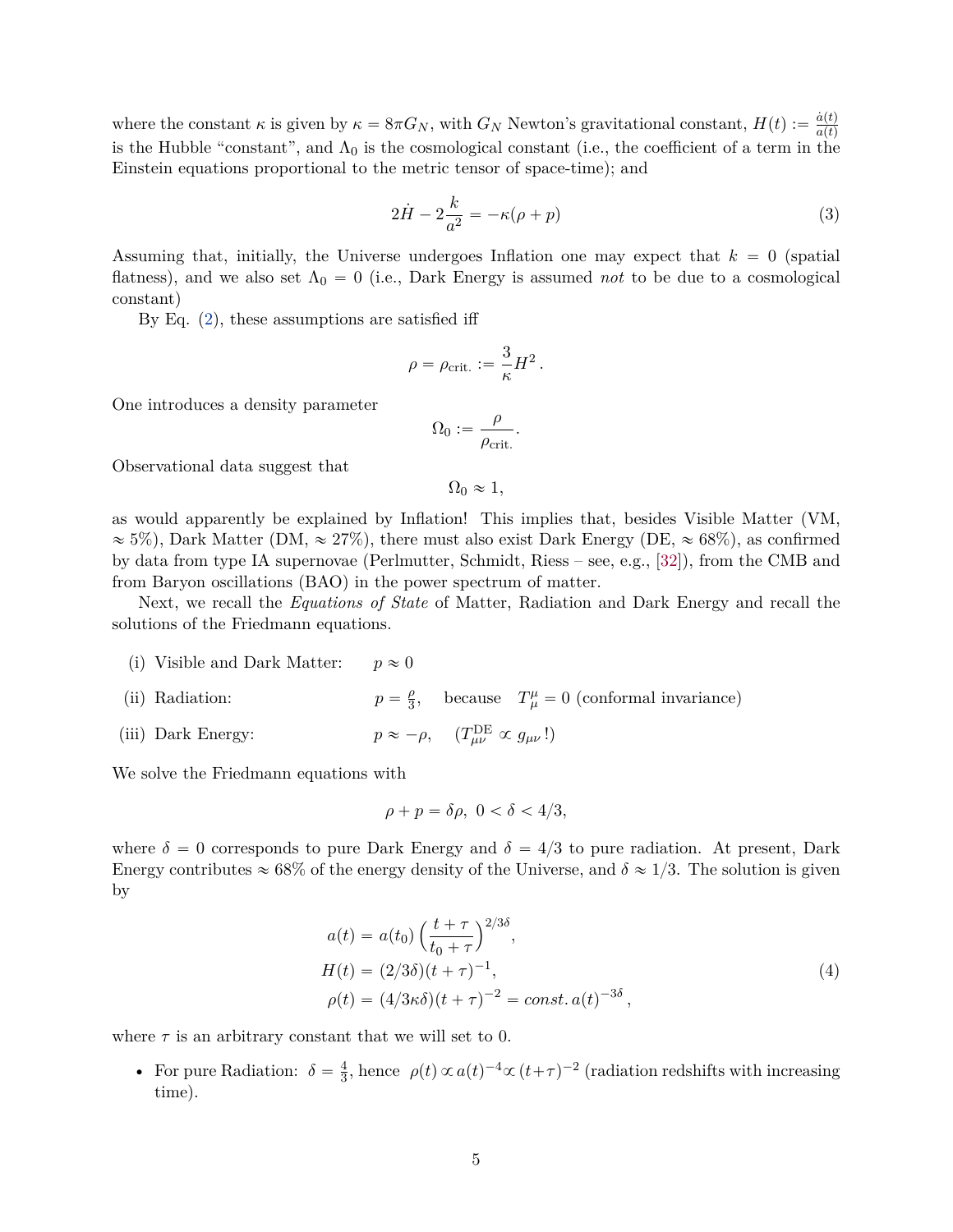where the constant  $\kappa$  is given by  $\kappa = 8\pi G_N$ , with  $G_N$  Newton's gravitational constant,  $H(t) := \frac{\dot{a}(t)}{a(t)}$  $a(t)$ is the Hubble "constant", and  $\Lambda_0$  is the cosmological constant (i.e., the coefficient of a term in the Einstein equations proportional to the metric tensor of space-time); and

<span id="page-4-0"></span>
$$
2\dot{H} - 2\frac{k}{a^2} = -\kappa(\rho + p) \tag{3}
$$

Assuming that, initially, the Universe undergoes Inflation one may expect that  $k = 0$  (spatial) flatness), and we also set  $\Lambda_0 = 0$  (i.e., Dark Energy is assumed *not* to be due to a cosmological constant)

By Eq. [\(2\)](#page-3-2), these assumptions are satisfied iff

$$
\rho = \rho_{\rm crit.} := \frac{3}{\kappa} H^2.
$$

One introduces a density parameter

$$
\Omega_0:=\frac{\rho}{\rho_{\rm crit.}}.
$$

Observational data suggest that

 $\Omega_0 \approx 1$ ,

as would apparently be explained by Inflation! This implies that, besides Visible Matter (VM,  $\approx$  5%), Dark Matter (DM,  $\approx$  27%), there must also exist Dark Energy (DE,  $\approx$  68%), as confirmed by data from type IA supernovae (Perlmutter, Schmidt, Riess – see, e.g., [\[32\]](#page-15-7)), from the CMB and from Baryon oscillations (BAO) in the power spectrum of matter.

Next, we recall the *Equations of State* of Matter, Radiation and Dark Energy and recall the solutions of the Friedmann equations.

(i) Visible and Dark Matter:  $p \approx 0$ (ii) Radiation: *ρ*  $\frac{\rho}{3}$ , because  $T^{\mu}_{\mu} = 0$  (conformal invariance) (iii) Dark Energy:  $J_{\mu\nu}^{\text{DE}} \propto g_{\mu\nu}$ !)

We solve the Friedmann equations with

<span id="page-4-1"></span>
$$
\rho + p = \delta \rho, \ 0 < \delta < 4/3,
$$

where  $\delta = 0$  corresponds to pure Dark Energy and  $\delta = 4/3$  to pure radiation. At present, Dark Energy contributes  $\approx 68\%$  of the energy density of the Universe, and  $\delta \approx 1/3$ . The solution is given by

$$
a(t) = a(t_0) \left(\frac{t+\tau}{t_0+\tau}\right)^{2/3\delta},
$$
  
\n
$$
H(t) = (2/3\delta)(t+\tau)^{-1},
$$
  
\n
$$
\rho(t) = (4/3\kappa\delta)(t+\tau)^{-2} = const. a(t)^{-3\delta},
$$
\n(4)

where  $\tau$  is an arbitrary constant that we will set to 0.

• For pure Radiation:  $\delta = \frac{4}{3}$  $\frac{4}{3}$ , hence  $\rho(t) \propto a(t)^{-4} \propto (t+\tau)^{-2}$  (radiation redshifts with increasing time).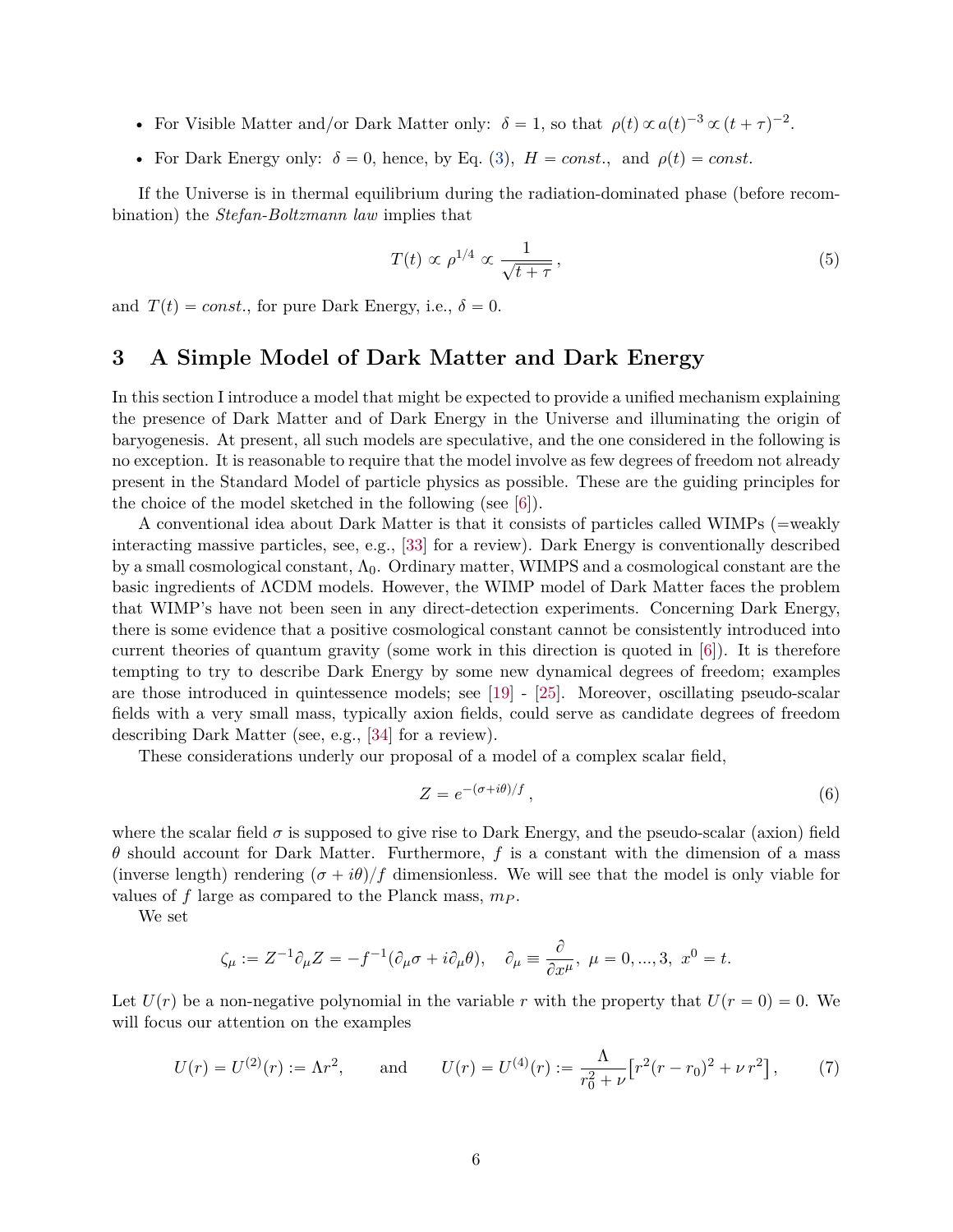- For Visible Matter and/or Dark Matter only:  $\delta = 1$ , so that  $\rho(t) \propto a(t)^{-3} \propto (t + \tau)^{-2}$ .
- For Dark Energy only:  $\delta = 0$ , hence, by Eq. [\(3\)](#page-4-0),  $H = const.$ , and  $\rho(t) = const.$

If the Universe is in thermal equilibrium during the radiation-dominated phase (before recombination) the *Stefan-Boltzmann law* implies that

$$
T(t) \propto \rho^{1/4} \propto \frac{1}{\sqrt{t+\tau}},\tag{5}
$$

and  $T(t) = const.$ , for pure Dark Energy, i.e.,  $\delta = 0$ .

## **3 A Simple Model of Dark Matter and Dark Energy**

In this section I introduce a model that might be expected to provide a unified mechanism explaining the presence of Dark Matter and of Dark Energy in the Universe and illuminating the origin of baryogenesis. At present, all such models are speculative, and the one considered in the following is no exception. It is reasonable to require that the model involve as few degrees of freedom not already present in the Standard Model of particle physics as possible. These are the guiding principles for the choice of the model sketched in the following (see [\[6\]](#page-13-5)).

A conventional idea about Dark Matter is that it consists of particles called WIMPs ( $=$ weakly interacting massive particles, see, e.g., [\[33\]](#page-15-8) for a review). Dark Energy is conventionally described by a small cosmological constant,  $\Lambda_0$ . Ordinary matter, WIMPS and a cosmological constant are the basic ingredients of ΛCDM models. However, the WIMP model of Dark Matter faces the problem that WIMP's have not been seen in any direct-detection experiments. Concerning Dark Energy, there is some evidence that a positive cosmological constant cannot be consistently introduced into current theories of quantum gravity (some work in this direction is quoted in [\[6\]](#page-13-5)). It is therefore tempting to try to describe Dark Energy by some new dynamical degrees of freedom; examples are those introduced in quintessence models; see [\[19\]](#page-14-11) - [\[25\]](#page-15-0). Moreover, oscillating pseudo-scalar fields with a very small mass, typically axion fields, could serve as candidate degrees of freedom describing Dark Matter (see, e.g., [\[34\]](#page-15-9) for a review).

These considerations underly our proposal of a model of a complex scalar field,

$$
Z = e^{-(\sigma + i\theta)/f},\tag{6}
$$

where the scalar field  $\sigma$  is supposed to give rise to Dark Energy, and the pseudo-scalar (axion) field *θ* should account for Dark Matter. Furthermore, *f* is a constant with the dimension of a mass (inverse length) rendering  $(\sigma + i\theta)/f$  dimensionless. We will see that the model is only viable for values of *f* large as compared to the Planck mass, *m<sup>P</sup>* .

We set

$$
\zeta_{\mu} := Z^{-1}\partial_{\mu}Z = -f^{-1}(\partial_{\mu}\sigma + i\partial_{\mu}\theta), \quad \partial_{\mu} \equiv \frac{\partial}{\partial x^{\mu}}, \ \mu = 0, ..., 3, \ x^{0} = t.
$$

Let  $U(r)$  be a non-negative polynomial in the variable *r* with the property that  $U(r = 0) = 0$ . We will focus our attention on the examples

<span id="page-5-0"></span>
$$
U(r) = U^{(2)}(r) := \Lambda r^2, \quad \text{and} \quad U(r) = U^{(4)}(r) := \frac{\Lambda}{r_0^2 + \nu} \left[ r^2 (r - r_0)^2 + \nu r^2 \right], \tag{7}
$$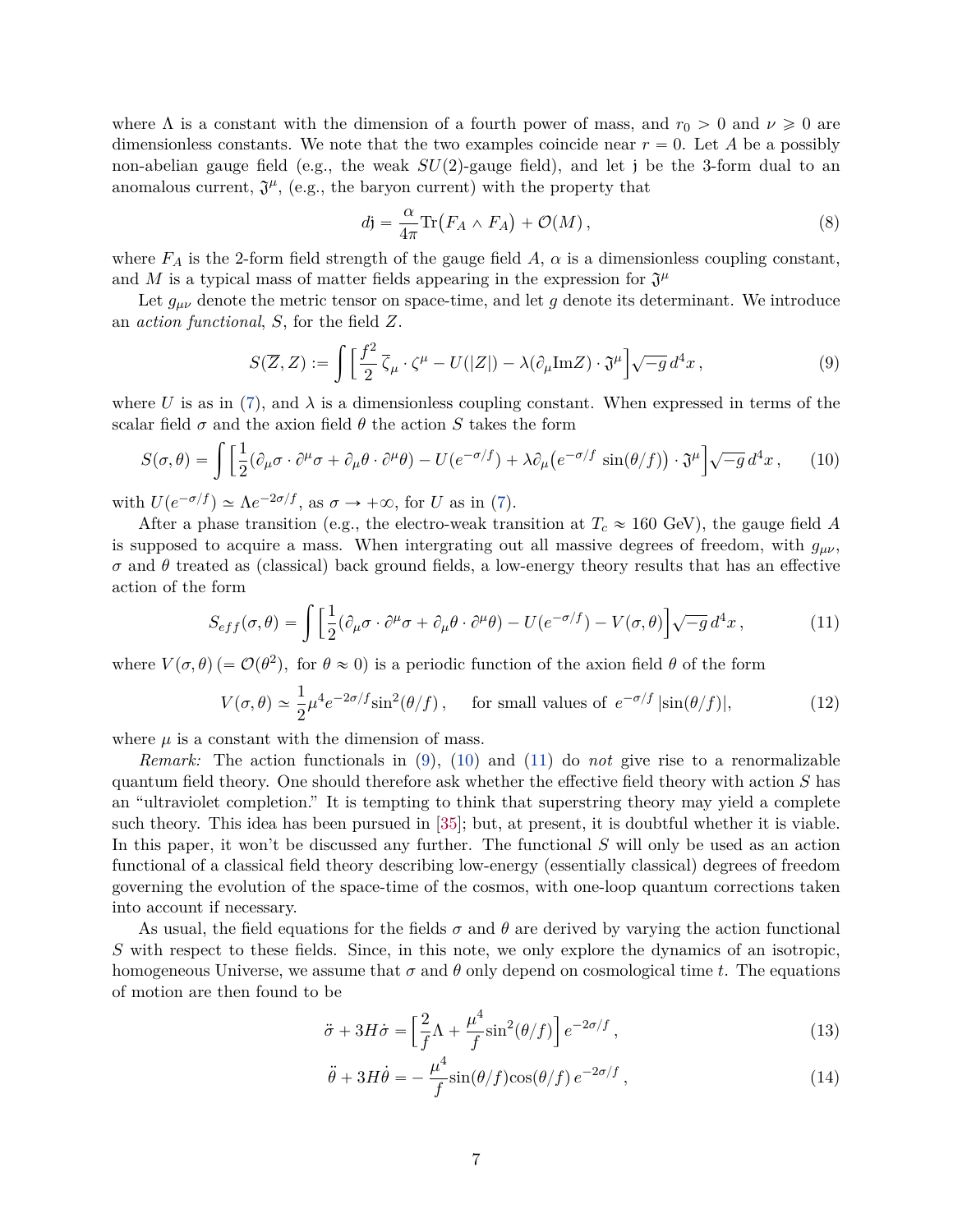where  $\Lambda$  is a constant with the dimension of a fourth power of mass, and  $r_0 > 0$  and  $\nu \ge 0$  are dimensionless constants. We note that the two examples coincide near  $r = 0$ . Let A be a possibly non-abelian gauge field (e.g., the weak  $SU(2)$ -gauge field), and let j be the 3-form dual to an anomalous current,  $\mathfrak{J}^{\mu}$ , (e.g., the baryon current) with the property that

<span id="page-6-6"></span>
$$
d\mathbf{j} = \frac{\alpha}{4\pi} \text{Tr} \left( F_A \wedge F_A \right) + \mathcal{O}(M) \,, \tag{8}
$$

where  $F_A$  is the 2-form field strength of the gauge field A,  $\alpha$  is a dimensionless coupling constant, and M is a typical mass of matter fields appearing in the expression for  $\mathfrak{J}^{\mu}$ 

Let  $g_{\mu\nu}$  denote the metric tensor on space-time, and let g denote its determinant. We introduce an *action functional*, *S*, for the field *Z*.

<span id="page-6-0"></span>
$$
S(\overline{Z}, Z) := \int \left[ \frac{f^2}{2} \overline{\zeta}_{\mu} \cdot \zeta^{\mu} - U(|Z|) - \lambda (\partial_{\mu} \text{Im} Z) \cdot \mathfrak{J}^{\mu} \right] \sqrt{-g} d^4 x , \qquad (9)
$$

where *U* is as in [\(7\)](#page-5-0), and  $\lambda$  is a dimensionless coupling constant. When expressed in terms of the

<span id="page-6-1"></span>scalar field 
$$
\sigma
$$
 and the axion field  $\theta$  the action *S* takes the form  
\n
$$
S(\sigma,\theta) = \int \left[ \frac{1}{2} (\partial_{\mu}\sigma \cdot \partial^{\mu}\sigma + \partial_{\mu}\theta \cdot \partial^{\mu}\theta) - U(e^{-\sigma/f}) + \lambda \partial_{\mu} (e^{-\sigma/f} \sin(\theta/f)) \cdot \mathfrak{J}^{\mu} \right] \sqrt{-g} d^{4}x, \qquad (10)
$$

with  $U(e^{-\sigma/f}) \simeq \Lambda e^{-2\sigma/f}$ , as  $\sigma \to +\infty$ , for *U* as in [\(7\)](#page-5-0).

After a phase transition (e.g., the electro-weak transition at  $T_c \approx 160$  GeV), the gauge field *A* is supposed to acquire a mass. When intergrating out all massive degrees of freedom, with  $g_{\mu\nu}$ , *σ* and *θ* treated as (classical) back ground fields, a low-energy theory results that has an effective action of the form

<span id="page-6-2"></span>
$$
S_{eff}(\sigma,\theta) = \int \left[ \frac{1}{2} (\partial_{\mu}\sigma \cdot \partial^{\mu}\sigma + \partial_{\mu}\theta \cdot \partial^{\mu}\theta) - U(e^{-\sigma/f}) - V(\sigma,\theta) \right] \sqrt{-g} d^{4}x , \qquad (11)
$$

where  $V(\sigma, \theta)$  (=  $\mathcal{O}(\theta^2)$ , for  $\theta \approx 0$ ) is a periodic function of the axion field  $\theta$  of the form

<span id="page-6-5"></span>
$$
V(\sigma,\theta) \simeq \frac{1}{2}\mu^4 e^{-2\sigma/f} \sin^2(\theta/f) \,, \quad \text{ for small values of } e^{-\sigma/f} \, |\sin(\theta/f)|, \tag{12}
$$

where  $\mu$  is a constant with the dimension of mass.

*Remark:* The action functionals in [\(9\)](#page-6-0), [\(10\)](#page-6-1) and [\(11\)](#page-6-2) do *not* give rise to a renormalizable quantum field theory. One should therefore ask whether the effective field theory with action *S* has an "ultraviolet completion." It is tempting to think that superstring theory may yield a complete such theory. This idea has been pursued in [\[35\]](#page-15-10); but, at present, it is doubtful whether it is viable. In this paper, it won't be discussed any further. The functional *S* will only be used as an action functional of a classical field theory describing low-energy (essentially classical) degrees of freedom governing the evolution of the space-time of the cosmos, with one-loop quantum corrections taken into account if necessary.

As usual, the field equations for the fields  $\sigma$  and  $\theta$  are derived by varying the action functional *S* with respect to these fields. Since, in this note, we only explore the dynamics of an isotropic, homogeneous Universe, we assume that  $\sigma$  and  $\theta$  only depend on cosmological time *t*. The equations of motion are then found to be

$$
\ddot{\sigma} + 3H\dot{\sigma} = \left[\frac{2}{f}\Lambda + \frac{\mu^4}{f}\sin^2(\theta/f)\right]e^{-2\sigma/f},\tag{13}
$$

<span id="page-6-4"></span><span id="page-6-3"></span>
$$
\ddot{\theta} + 3H\dot{\theta} = -\frac{\mu^4}{f}\sin(\theta/f)\cos(\theta/f) e^{-2\sigma/f}, \qquad (14)
$$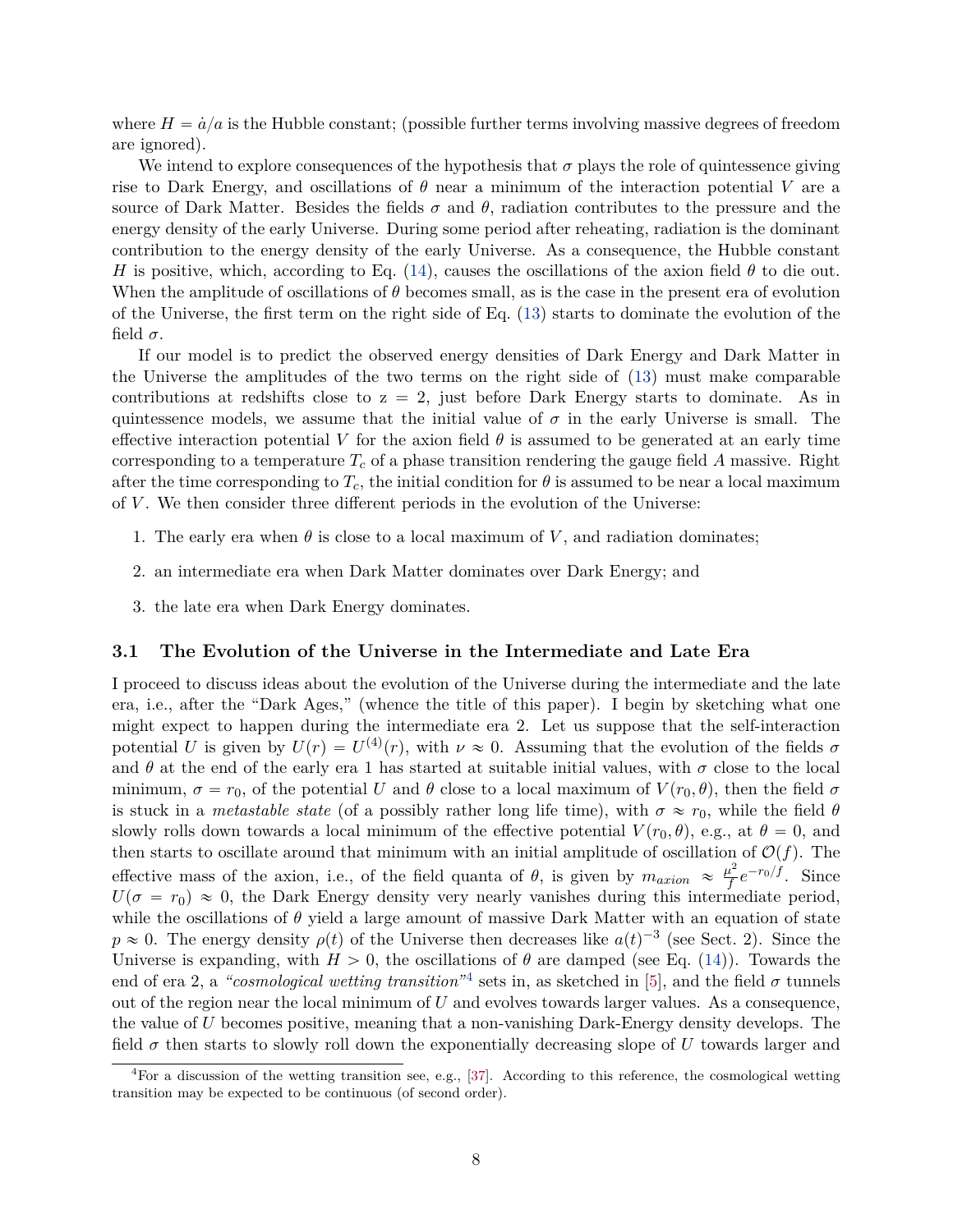where  $H = \dot{a}/a$  is the Hubble constant; (possible further terms involving massive degrees of freedom are ignored).

We intend to explore consequences of the hypothesis that  $\sigma$  plays the role of quintessence giving rise to Dark Energy, and oscillations of  $\theta$  near a minimum of the interaction potential V are a source of Dark Matter. Besides the fields  $\sigma$  and  $\theta$ , radiation contributes to the pressure and the energy density of the early Universe. During some period after reheating, radiation is the dominant contribution to the energy density of the early Universe. As a consequence, the Hubble constant *H* is positive, which, according to Eq. [\(14\)](#page-6-3), causes the oscillations of the axion field  $\theta$  to die out. When the amplitude of oscillations of *θ* becomes small, as is the case in the present era of evolution of the Universe, the first term on the right side of Eq. [\(13\)](#page-6-4) starts to dominate the evolution of the field  $\sigma$ .

If our model is to predict the observed energy densities of Dark Energy and Dark Matter in the Universe the amplitudes of the two terms on the right side of [\(13\)](#page-6-4) must make comparable contributions at redshifts close to  $z = 2$ , just before Dark Energy starts to dominate. As in quintessence models, we assume that the initial value of  $\sigma$  in the early Universe is small. The effective interaction potential V for the axion field  $\theta$  is assumed to be generated at an early time corresponding to a temperature  $T_c$  of a phase transition rendering the gauge field  $A$  massive. Right after the time corresponding to  $T_c$ , the initial condition for  $\theta$  is assumed to be near a local maximum of *V* . We then consider three different periods in the evolution of the Universe:

- 1. The early era when  $\theta$  is close to a local maximum of V, and radiation dominates;
- 2. an intermediate era when Dark Matter dominates over Dark Energy; and
- 3. the late era when Dark Energy dominates.

#### **3.1 The Evolution of the Universe in the Intermediate and Late Era**

I proceed to discuss ideas about the evolution of the Universe during the intermediate and the late era, i.e., after the "Dark Ages," (whence the title of this paper). I begin by sketching what one might expect to happen during the intermediate era 2. Let us suppose that the self-interaction potential *U* is given by  $U(r) = U^{(4)}(r)$ , with  $\nu \approx 0$ . Assuming that the evolution of the fields  $\sigma$ and  $\theta$  at the end of the early era 1 has started at suitable initial values, with  $\sigma$  close to the local minimum,  $\sigma = r_0$ , of the potential *U* and  $\theta$  close to a local maximum of  $V(r_0, \theta)$ , then the field  $\sigma$ is stuck in a *metastable state* (of a possibly rather long life time), with  $\sigma \approx r_0$ , while the field  $\theta$ slowly rolls down towards a local minimum of the effective potential  $V(r_0, \theta)$ , e.g., at  $\theta = 0$ , and then starts to oscillate around that minimum with an initial amplitude of oscillation of  $\mathcal{O}(f)$ . The effective mass of the axion, i.e., of the field quanta of  $\theta$ , is given by  $m_{axion} \approx \frac{\mu^2}{f}$  $\frac{d^2}{f}e^{-r_0/f}$ . Since  $U(\sigma = r_0) \approx 0$ , the Dark Energy density very nearly vanishes during this intermediate period, while the oscillations of  $\theta$  yield a large amount of massive Dark Matter with an equation of state  $p \approx 0$ . The energy density  $\rho(t)$  of the Universe then decreases like  $a(t)^{-3}$  (see Sect. 2). Since the Universe is expanding, with  $H > 0$ , the oscillations of  $\theta$  are damped (see Eq. [\(14\)](#page-6-3)). Towards the end of era 2, a *"cosmological wetting transition*"<sup>[4](#page-7-0)</sup> sets in, as sketched in [\[5\]](#page-13-4), and the field  $\sigma$  tunnels out of the region near the local minimum of *U* and evolves towards larger values. As a consequence, the value of *U* becomes positive, meaning that a non-vanishing Dark-Energy density develops. The field  $\sigma$  then starts to slowly roll down the exponentially decreasing slope of  $U$  towards larger and

<span id="page-7-0"></span><sup>&</sup>lt;sup>4</sup>For a discussion of the wetting transition see, e.g., [\[37\]](#page-15-11). According to this reference, the cosmological wetting transition may be expected to be continuous (of second order).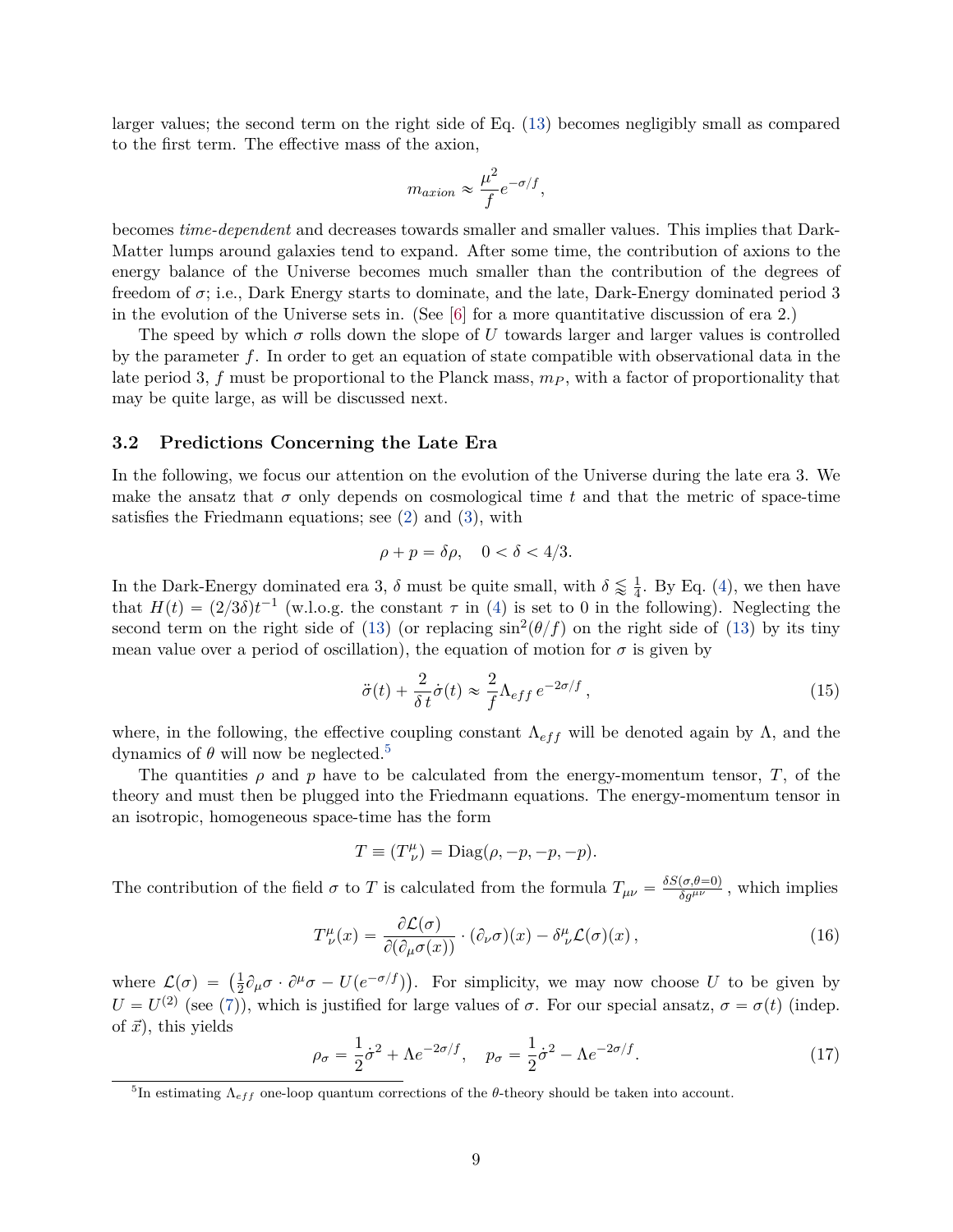larger values; the second term on the right side of Eq. [\(13\)](#page-6-4) becomes negligibly small as compared to the first term. The effective mass of the axion,

$$
m_{axion} \approx \frac{\mu^2}{f} e^{-\sigma/f},
$$

becomes *time-dependent* and decreases towards smaller and smaller values. This implies that Dark-Matter lumps around galaxies tend to expand. After some time, the contribution of axions to the energy balance of the Universe becomes much smaller than the contribution of the degrees of freedom of  $\sigma$ ; i.e., Dark Energy starts to dominate, and the late, Dark-Energy dominated period 3 in the evolution of the Universe sets in. (See [\[6\]](#page-13-5) for a more quantitative discussion of era 2.)

The speed by which  $\sigma$  rolls down the slope of U towards larger and larger values is controlled by the parameter *f*. In order to get an equation of state compatible with observational data in the late period 3, *f* must be proportional to the Planck mass, *m<sup>P</sup>* , with a factor of proportionality that may be quite large, as will be discussed next.

#### **3.2 Predictions Concerning the Late Era**

In the following, we focus our attention on the evolution of the Universe during the late era 3. We make the ansatz that  $\sigma$  only depends on cosmological time t and that the metric of space-time satisfies the Friedmann equations; see [\(2\)](#page-3-2) and [\(3\)](#page-4-0), with

$$
\rho + p = \delta \rho, \quad 0 < \delta < 4/3.
$$

In the Dark-Energy dominated era 3,  $\delta$  must be quite small, with  $\delta \lessapprox \frac{1}{4}$  $\frac{1}{4}$ . By Eq. [\(4\)](#page-4-1), we then have that  $H(t) = (2/3\delta)t^{-1}$  (w.l.o.g. the constant  $\tau$  in [\(4\)](#page-4-1) is set to 0 in the following). Neglecting the second term on the right side of [\(13\)](#page-6-4) (or replacing  $\sin^2(\theta/f)$  on the right side of (13) by its tiny mean value over a period of oscillation), the equation of motion for  $\sigma$  is given by

<span id="page-8-1"></span>
$$
\ddot{\sigma}(t) + \frac{2}{\delta t} \dot{\sigma}(t) \approx \frac{2}{f} \Lambda_{eff} e^{-2\sigma/f}, \qquad (15)
$$

where, in the following, the effective coupling constant  $\Lambda_{eff}$  will be denoted again by  $\Lambda$ , and the dynamics of  $θ$  will now be neglected.<sup>[5](#page-8-0)</sup>

The quantities  $\rho$  and  $p$  have to be calculated from the energy-momentum tensor,  $T$ , of the theory and must then be plugged into the Friedmann equations. The energy-momentum tensor in an isotropic, homogeneous space-time has the form

$$
T \equiv (T^{\mu}_{\ \nu}) = \text{Diag}(\rho, -p, -p, -p).
$$

The contribution of the field  $\sigma$  to *T* is calculated from the formula  $T_{\mu\nu} = \frac{\delta S(\sigma,\theta=0)}{\delta g^{\mu\nu}}$ , which implies

$$
T^{\mu}_{\ \nu}(x) = \frac{\partial \mathcal{L}(\sigma)}{\partial(\partial_{\mu}\sigma(x))} \cdot (\partial_{\nu}\sigma)(x) - \delta^{\mu}_{\ \nu}\mathcal{L}(\sigma)(x) \,, \tag{16}
$$

where  $\mathcal{L}(\sigma) = \left(\frac{1}{2}\right)$  $\frac{1}{2}\partial_{\mu}\sigma \cdot \partial^{\mu}\sigma - U(e^{-\sigma/f})$ . For simplicity, we may now choose *U* to be given by  $U = U^{(2)}$  (see [\(7\)](#page-5-0)), which is justified for large values of  $\sigma$ . For our special ansatz,  $\sigma = \sigma(t)$  (indep. of  $\vec{x}$ ), this yields

$$
\rho_{\sigma} = \frac{1}{2}\dot{\sigma}^2 + \Lambda e^{-2\sigma/f}, \quad p_{\sigma} = \frac{1}{2}\dot{\sigma}^2 - \Lambda e^{-2\sigma/f}.
$$
 (17)

<span id="page-8-0"></span><sup>&</sup>lt;sup>5</sup>In estimating  $\Lambda_{eff}$  one-loop quantum corrections of the  $\theta$ -theory should be taken into account.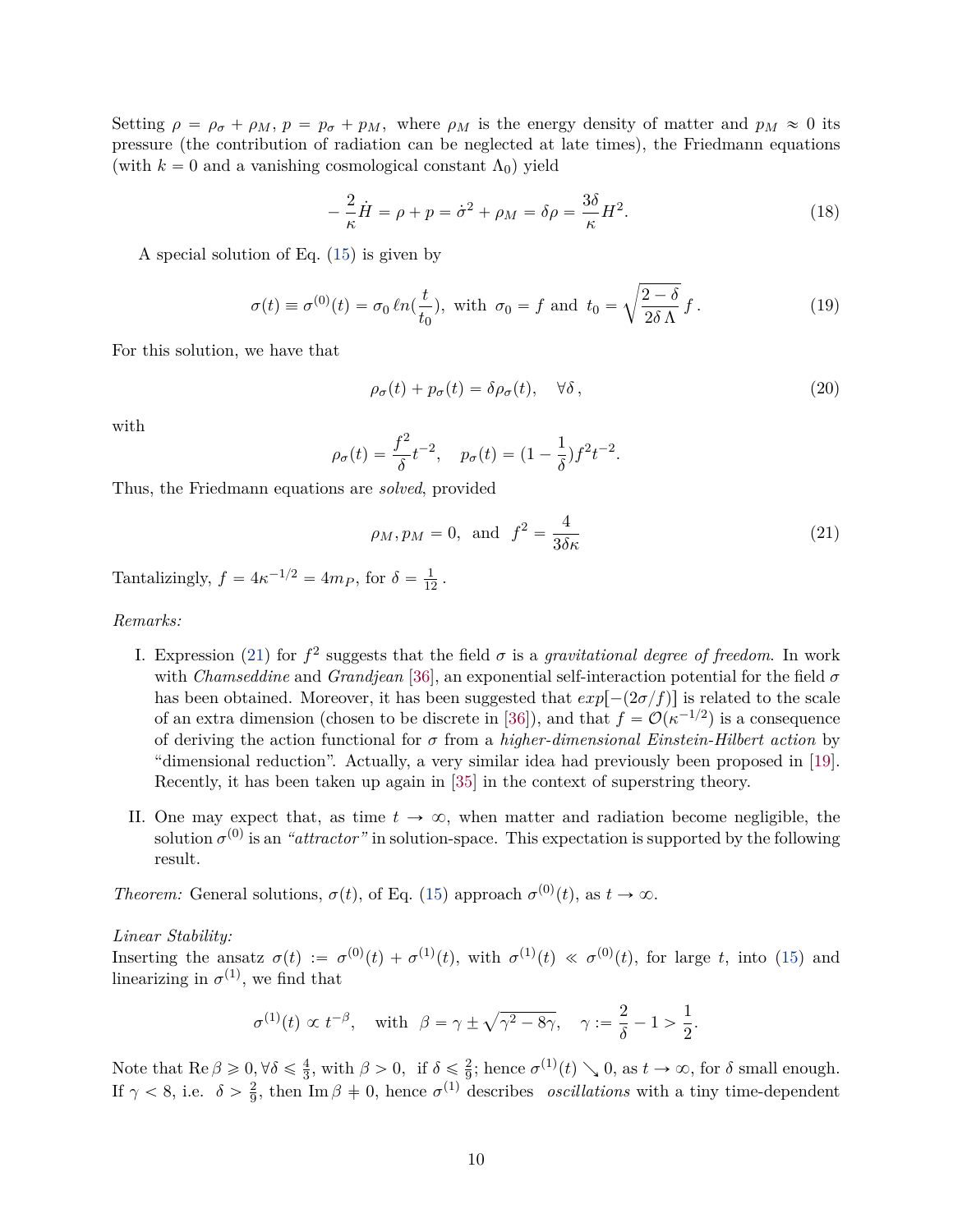Setting  $\rho = \rho_{\sigma} + \rho_{M}, p = p_{\sigma} + p_{M}$ , where  $\rho_{M}$  is the energy density of matter and  $p_{M} \approx 0$  its pressure (the contribution of radiation can be neglected at late times), the Friedmann equations (with  $k = 0$  and a vanishing cosmological constant  $\Lambda_0$ ) yield

$$
-\frac{2}{\kappa}\dot{H} = \rho + p = \dot{\sigma}^2 + \rho_M = \delta\rho = \frac{3\delta}{\kappa}H^2.
$$
 (18)

A special solution of Eq. [\(15\)](#page-8-1) is given by

<span id="page-9-1"></span>
$$
\sigma(t) \equiv \sigma^{(0)}(t) = \sigma_0 \ln(\frac{t}{t_0}), \text{ with } \sigma_0 = f \text{ and } t_0 = \sqrt{\frac{2-\delta}{2\delta\,\Lambda}}\,f. \tag{19}
$$

For this solution, we have that

$$
\rho_{\sigma}(t) + p_{\sigma}(t) = \delta \rho_{\sigma}(t), \quad \forall \delta \,, \tag{20}
$$

with

$$
\rho_{\sigma}(t) = \frac{f^2}{\delta}t^{-2}, \quad p_{\sigma}(t) = (1 - \frac{1}{\delta})f^2t^{-2}.
$$

Thus, the Friedmann equations are *solved*, provided

<span id="page-9-0"></span>
$$
\rho_M, p_M = 0, \text{ and } f^2 = \frac{4}{3\delta\kappa} \tag{21}
$$

Tantalizingly,  $f = 4\kappa^{-1/2} = 4m_P$ , for  $\delta = \frac{1}{12}$ .

*Remarks:*

- I. Expression [\(21\)](#page-9-0) for  $f^2$  suggests that the field  $\sigma$  is a *gravitational degree of freedom*. In work with *Chamseddine* and *Grandjean* [\[36\]](#page-15-12), an exponential self-interaction potential for the field *σ* has been obtained. Moreover, it has been suggested that  $exp[-(2\sigma/f)]$  is related to the scale of an extra dimension (chosen to be discrete in [\[36\]](#page-15-12)), and that  $f = \mathcal{O}(\kappa^{-1/2})$  is a consequence of deriving the action functional for *σ* from a *higher-dimensional Einstein-Hilbert action* by "dimensional reduction". Actually, a very similar idea had previously been proposed in [\[19\]](#page-14-11). Recently, it has been taken up again in [\[35\]](#page-15-10) in the context of superstring theory.
- II. One may expect that, as time  $t \to \infty$ , when matter and radiation become negligible, the solution  $\sigma^{(0)}$  is an *"attractor"* in solution-space. This expectation is supported by the following result.

*Theorem:* General solutions,  $\sigma(t)$ , of Eq. [\(15\)](#page-8-1) approach  $\sigma^{(0)}(t)$ , as  $t \to \infty$ .

*Linear Stability:*

Inserting the ansatz  $\sigma(t) := \sigma^{(0)}(t) + \sigma^{(1)}(t)$ , with  $\sigma^{(1)}(t) \ll \sigma^{(0)}(t)$ , for large *t*, into [\(15\)](#page-8-1) and linearizing in  $\sigma^{(1)}$ , we find that

$$
\sigma^{(1)}(t) \propto t^{-\beta}, \quad \text{with} \ \ \beta = \gamma \pm \sqrt{\gamma^2 - 8\gamma}, \quad \gamma := \frac{2}{\delta} - 1 > \frac{1}{2}.
$$

Note that  $\text{Re}\,\beta \geqslant 0, \forall \delta \leqslant \frac{4}{3}$  $\frac{4}{3}$ , with  $\beta > 0$ , if  $\delta \leq \frac{2}{9}$  $\frac{2}{9}$ ; hence  $\sigma^{(1)}(t) \searrow 0$ , as  $t \to \infty$ , for  $\delta$  small enough. If  $\gamma < 8$ , i.e.  $\delta > \frac{2}{9}$  $\frac{2}{9}$ , then Im  $\beta \neq 0$ , hence  $\sigma^{(1)}$  describes *oscillations* with a tiny time-dependent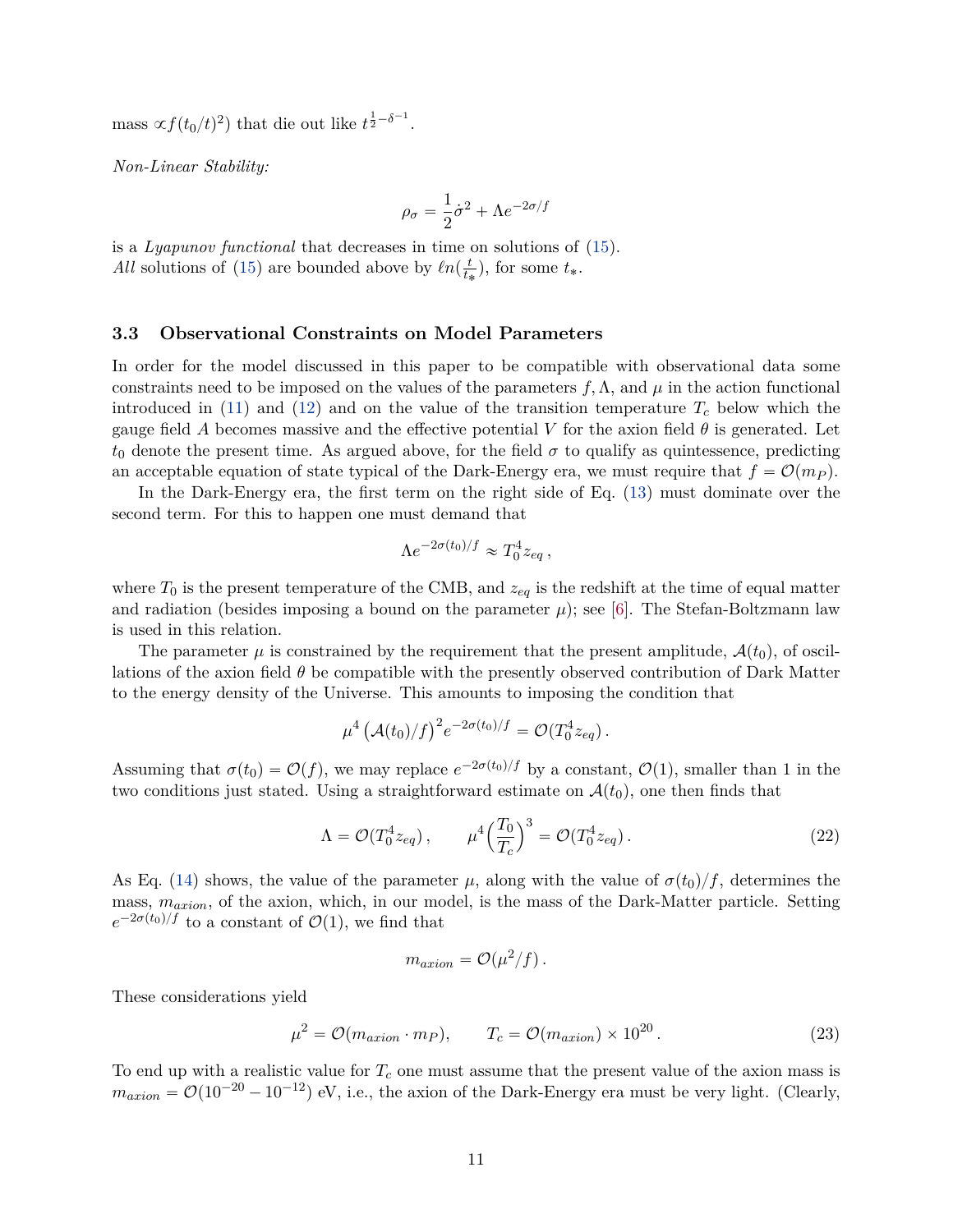mass  $\alpha f(t_0/t)^2$  that die out like  $t^{\frac{1}{2}-\delta^{-1}}$ .

*Non-Linear Stability:*

$$
\rho_\sigma = \frac{1}{2}\dot{\sigma}^2 + \Lambda e^{-2\sigma/f}
$$

is a *Lyapunov functional* that decreases in time on solutions of [\(15\)](#page-8-1). *All* solutions of [\(15\)](#page-8-1) are bounded above by  $ln(\frac{t}{t_s})$  $(\frac{t}{t_*})$ , for some  $t_*$ .

#### **3.3 Observational Constraints on Model Parameters**

In order for the model discussed in this paper to be compatible with observational data some constraints need to be imposed on the values of the parameters  $f, \Lambda$ , and  $\mu$  in the action functional introduced in [\(11\)](#page-6-2) and [\(12\)](#page-6-5) and on the value of the transition temperature  $T_c$  below which the gauge field *A* becomes massive and the effective potential *V* for the axion field  $\theta$  is generated. Let  $t_0$  denote the present time. As argued above, for the field  $\sigma$  to qualify as quintessence, predicting an acceptable equation of state typical of the Dark-Energy era, we must require that  $f = \mathcal{O}(m_P)$ .

In the Dark-Energy era, the first term on the right side of Eq. [\(13\)](#page-6-4) must dominate over the second term. For this to happen one must demand that

$$
\Lambda e^{-2\sigma(t_0)/f} \approx T_0^4 z_{eq} ,
$$

where  $T_0$  is the present temperature of the CMB, and  $z_{eq}$  is the redshift at the time of equal matter and radiation (besides imposing a bound on the parameter  $\mu$ ); see [\[6\]](#page-13-5). The Stefan-Boltzmann law is used in this relation.

The parameter  $\mu$  is constrained by the requirement that the present amplitude,  $\mathcal{A}(t_0)$ , of oscillations of the axion field *θ* be compatible with the presently observed contribution of Dark Matter to the energy density of the Universe. This amounts to imposing the condition that

$$
\mu^4 \left(\mathcal{A}(t_0)/f\right)^2 e^{-2\sigma(t_0)/f} = \mathcal{O}(T_0^4 z_{eq}).
$$

Assuming that  $\sigma(t_0) = \mathcal{O}(f)$ , we may replace  $e^{-2\sigma(t_0)/f}$  by a constant,  $\mathcal{O}(1)$ , smaller than 1 in the two conditions just stated. Using a straightforward estimate on  $\mathcal{A}(t_0)$ , one then finds that

$$
\Lambda = \mathcal{O}(T_0^4 z_{eq}), \qquad \mu^4 \Big(\frac{T_0}{T_c}\Big)^3 = \mathcal{O}(T_0^4 z_{eq}). \tag{22}
$$

As Eq. [\(14\)](#page-6-3) shows, the value of the parameter  $\mu$ , along with the value of  $\sigma(t_0)/f$ , determines the mass, *maxion*, of the axion, which, in our model, is the mass of the Dark-Matter particle. Setting  $e^{-2\sigma(t_0)/f}$  to a constant of  $\mathcal{O}(1)$ , we find that

$$
m_{axion} = \mathcal{O}(\mu^2/f).
$$

These considerations yield

<span id="page-10-0"></span>
$$
\mu^2 = \mathcal{O}(m_{axion} \cdot m_P), \qquad T_c = \mathcal{O}(m_{axion}) \times 10^{20}.
$$
 (23)

To end up with a realistic value for *T<sup>c</sup>* one must assume that the present value of the axion mass is  $m_{axion} = \mathcal{O}(10^{-20} - 10^{-12})$  eV, i.e., the axion of the Dark-Energy era must be very light. (Clearly,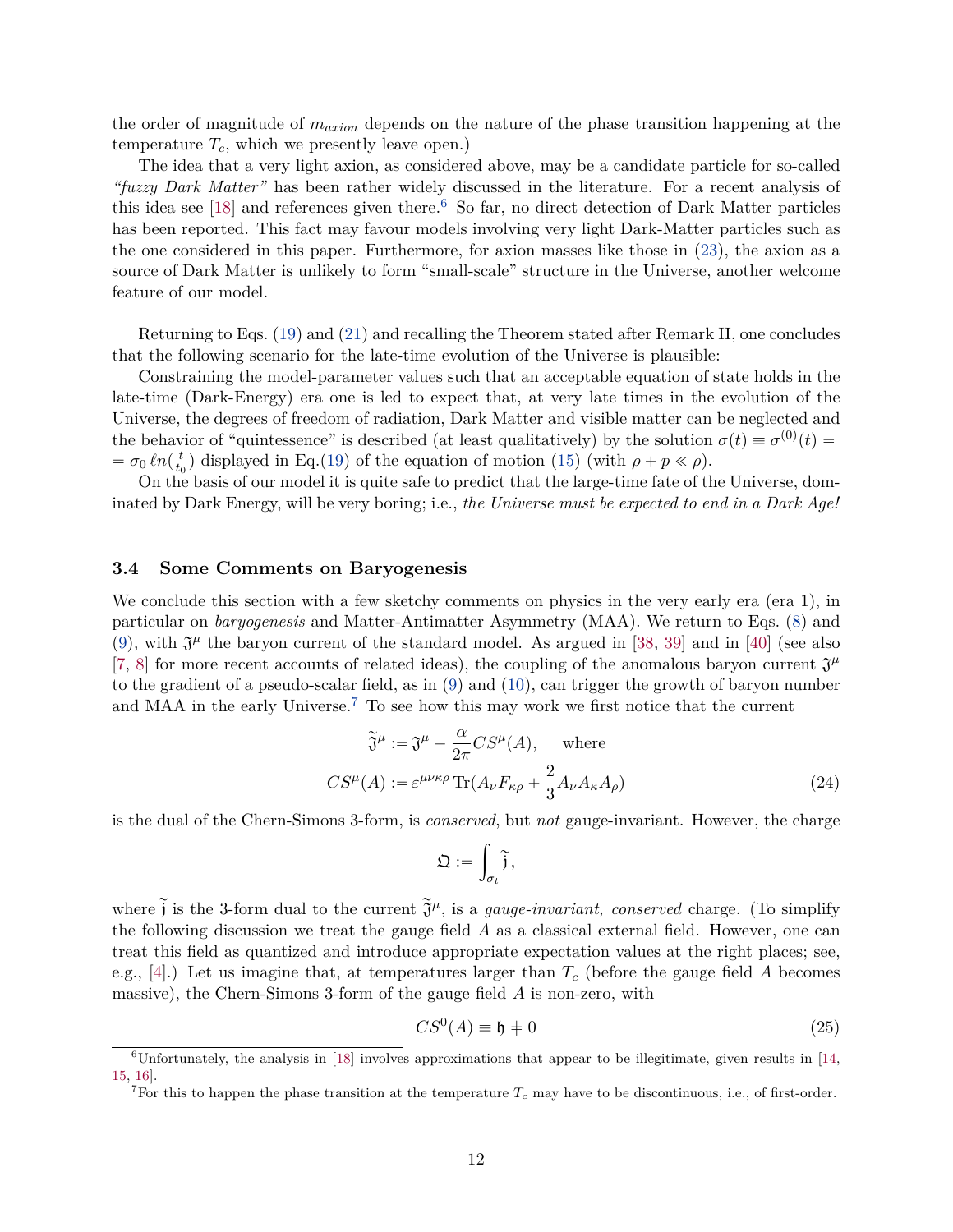the order of magnitude of *maxion* depends on the nature of the phase transition happening at the temperature  $T_c$ , which we presently leave open.)

The idea that a very light axion, as considered above, may be a candidate particle for so-called *"fuzzy Dark Matter"* has been rather widely discussed in the literature. For a recent analysis of this idea see  $[18]$  and references given there.<sup>[6](#page-11-0)</sup> So far, no direct detection of Dark Matter particles has been reported. This fact may favour models involving very light Dark-Matter particles such as the one considered in this paper. Furthermore, for axion masses like those in [\(23\)](#page-10-0), the axion as a source of Dark Matter is unlikely to form "small-scale" structure in the Universe, another welcome feature of our model.

Returning to Eqs. [\(19\)](#page-9-1) and [\(21\)](#page-9-0) and recalling the Theorem stated after Remark II, one concludes that the following scenario for the late-time evolution of the Universe is plausible:

Constraining the model-parameter values such that an acceptable equation of state holds in the late-time (Dark-Energy) era one is led to expect that, at very late times in the evolution of the Universe, the degrees of freedom of radiation, Dark Matter and visible matter can be neglected and the behavior of "quintessence" is described (at least qualitatively) by the solution  $\sigma(t) \equiv \sigma^{(0)}(t)$  $= \sigma_0 \ln \left( \frac{t}{t_0} \right)$  $\frac{t}{t_0}$ ) displayed in Eq.[\(19\)](#page-9-1) of the equation of motion [\(15\)](#page-8-1) (with  $\rho + p \ll \rho$ ).

On the basis of our model it is quite safe to predict that the large-time fate of the Universe, dominated by Dark Energy, will be very boring; i.e., *the Universe must be expected to end in a Dark Age!*

#### **3.4 Some Comments on Baryogenesis**

We conclude this section with a few sketchy comments on physics in the very early era (era 1), in particular on *baryogenesis* and Matter-Antimatter Asymmetry (MAA). We return to Eqs. [\(8\)](#page-6-6) and [\(9\)](#page-6-0), with  $\mathfrak{J}^{\mu}$  the baryon current of the standard model. As argued in [\[38,](#page-15-13) [39\]](#page-15-14) and in [\[40\]](#page-16-0) (see also [\[7,](#page-13-6) [8\]](#page-14-0) for more recent accounts of related ideas), the coupling of the anomalous baryon current  $\mathfrak{J}^{\mu}$ to the gradient of a pseudo-scalar field, as in [\(9\)](#page-6-0) and [\(10\)](#page-6-1), can trigger the growth of baryon number and MAA in the early Universe.[7](#page-11-1) To see how this may work we first notice that the current

$$
\widetilde{\mathfrak{J}}^{\mu} := \mathfrak{J}^{\mu} - \frac{\alpha}{2\pi} C S^{\mu}(A), \quad \text{where}
$$
  

$$
CS^{\mu}(A) := \varepsilon^{\mu\nu\kappa\rho} \operatorname{Tr}(A_{\nu} F_{\kappa\rho} + \frac{2}{3} A_{\nu} A_{\kappa} A_{\rho})
$$
 (24)

is the dual of the Chern-Simons 3-form, is *conserved*, but *not* gauge-invariant. However, the charge

$$
\mathfrak{Q}:=\int_{\sigma_t}\widetilde{\mathfrak{j}},
$$

where  $\tilde{j}$  is the 3-form dual to the current  $\tilde{\mathfrak{J}}^{\mu}$ , is a *gauge-invariant, conserved* charge. (To simplify the following discussion we treat the gauge field *A* as a classical external field. However, one can treat this field as quantized and introduce appropriate expectation values at the right places; see, e.g., [\[4\]](#page-13-3).) Let us imagine that, at temperatures larger than *T<sup>c</sup>* (before the gauge field *A* becomes massive), the Chern-Simons 3-form of the gauge field *A* is non-zero, with

$$
CS^0(A) \equiv \mathfrak{h} + 0 \tag{25}
$$

<span id="page-11-0"></span> $6$ Unfortunately, the analysis in [\[18\]](#page-14-10) involves approximations that appear to be illegitimate, given results in [\[14,](#page-14-6) [15,](#page-14-7) [16\]](#page-14-8).

<span id="page-11-1"></span><sup>&</sup>lt;sup>7</sup>For this to happen the phase transition at the temperature  $T_c$  may have to be discontinuous, i.e., of first-order.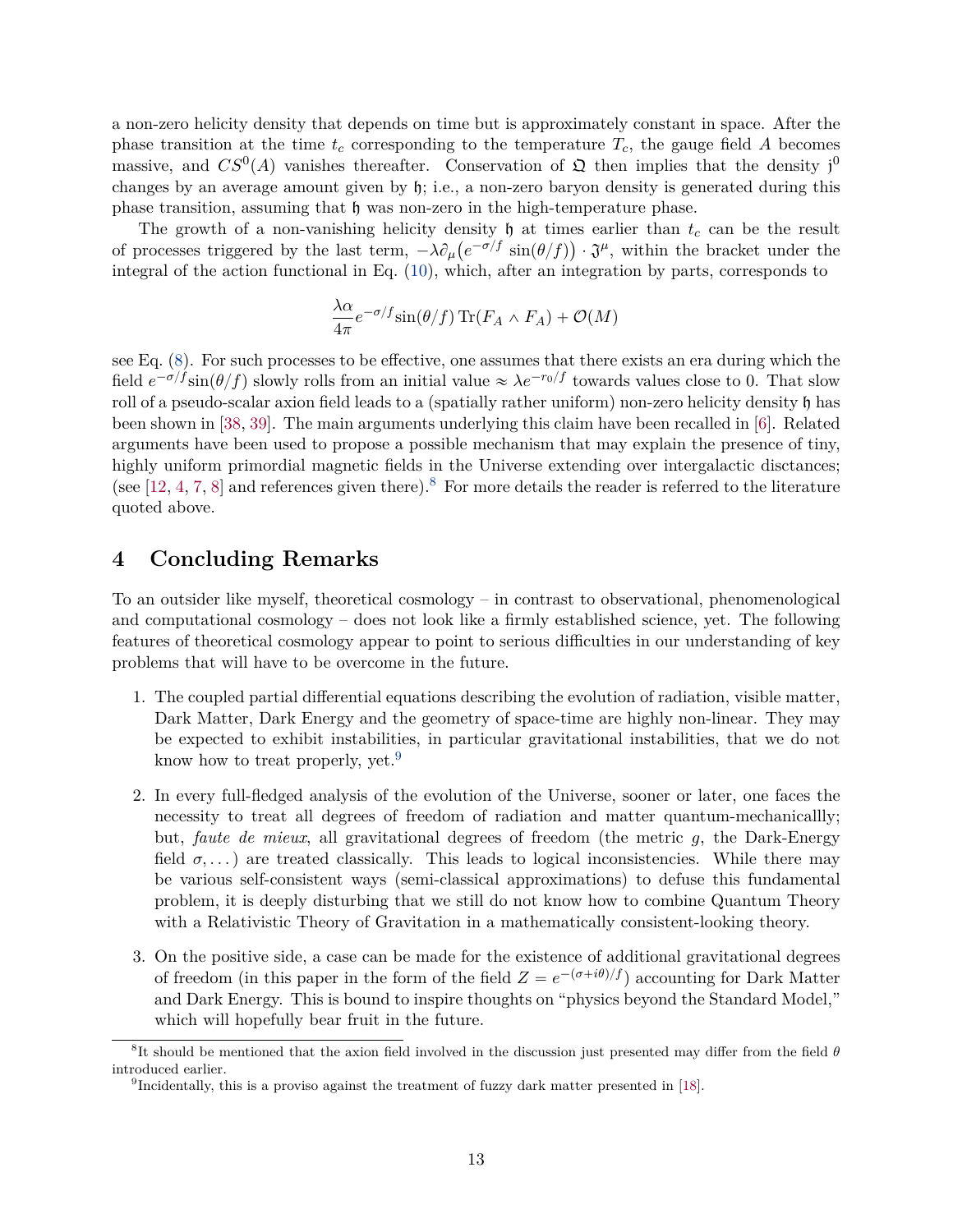a non-zero helicity density that depends on time but is approximately constant in space. After the phase transition at the time  $t_c$  corresponding to the temperature  $T_c$ , the gauge field A becomes massive, and  $CS^0(A)$  vanishes thereafter. Conservation of  $\mathfrak{Q}$  then implies that the density j<sup>0</sup> changes by an average amount given by h; i.e., a non-zero baryon density is generated during this phase transition, assuming that  $\mathfrak h$  was non-zero in the high-temperature phase.

The growth of a non-vanishing helicity density  $\mathfrak{h}$  at times earlier than  $t_c$  can be the result of processes triggered by the last term,  $-\lambda \partial_\mu (e^{-\sigma/f} \sin(\theta/f)) \cdot \mathfrak{J}^\mu$ , within the bracket under the integral of the action functional in Eq. [\(10\)](#page-6-1), which, after an integration by parts, corresponds to

$$
\frac{\lambda \alpha}{4\pi} e^{-\sigma/f} \sin(\theta/f) \operatorname{Tr}(F_A \wedge F_A) + \mathcal{O}(M)
$$

see Eq. [\(8\)](#page-6-6). For such processes to be effective, one assumes that there exists an era during which the field  $e^{-\sigma/f} \sin(\theta/f)$  slowly rolls from an initial value  $\approx \lambda e^{-r_0/f}$  towards values close to 0. That slow roll of a pseudo-scalar axion field leads to a (spatially rather uniform) non-zero helicity density h has been shown in [\[38,](#page-15-13) [39\]](#page-15-14). The main arguments underlying this claim have been recalled in [\[6\]](#page-13-5). Related arguments have been used to propose a possible mechanism that may explain the presence of tiny, highly uniform primordial magnetic fields in the Universe extending over intergalactic disctances; (see [\[12,](#page-14-4) [4,](#page-13-3) [7,](#page-13-6) [8\]](#page-14-0) and references given there).<sup>[8](#page-12-0)</sup> For more details the reader is referred to the literature quoted above.

## **4 Concluding Remarks**

To an outsider like myself, theoretical cosmology – in contrast to observational, phenomenological and computational cosmology – does not look like a firmly established science, yet. The following features of theoretical cosmology appear to point to serious difficulties in our understanding of key problems that will have to be overcome in the future.

- 1. The coupled partial differential equations describing the evolution of radiation, visible matter, Dark Matter, Dark Energy and the geometry of space-time are highly non-linear. They may be expected to exhibit instabilities, in particular gravitational instabilities, that we do not know how to treat properly, yet.<sup>[9](#page-12-1)</sup>
- 2. In every full-fledged analysis of the evolution of the Universe, sooner or later, one faces the necessity to treat all degrees of freedom of radiation and matter quantum-mechanicallly; but, *faute de mieux*, all gravitational degrees of freedom (the metric *g*, the Dark-Energy field  $\sigma$ ,...) are treated classically. This leads to logical inconsistencies. While there may be various self-consistent ways (semi-classical approximations) to defuse this fundamental problem, it is deeply disturbing that we still do not know how to combine Quantum Theory with a Relativistic Theory of Gravitation in a mathematically consistent-looking theory.
- 3. On the positive side, a case can be made for the existence of additional gravitational degrees of freedom (in this paper in the form of the field  $Z = e^{-(\sigma + i\theta)/f}$ ) accounting for Dark Matter and Dark Energy. This is bound to inspire thoughts on "physics beyond the Standard Model," which will hopefully bear fruit in the future.

<span id="page-12-0"></span><sup>8</sup> It should be mentioned that the axion field involved in the discussion just presented may differ from the field *θ* introduced earlier.

<span id="page-12-1"></span><sup>&</sup>lt;sup>9</sup>Incidentally, this is a proviso against the treatment of fuzzy dark matter presented in [\[18\]](#page-14-10).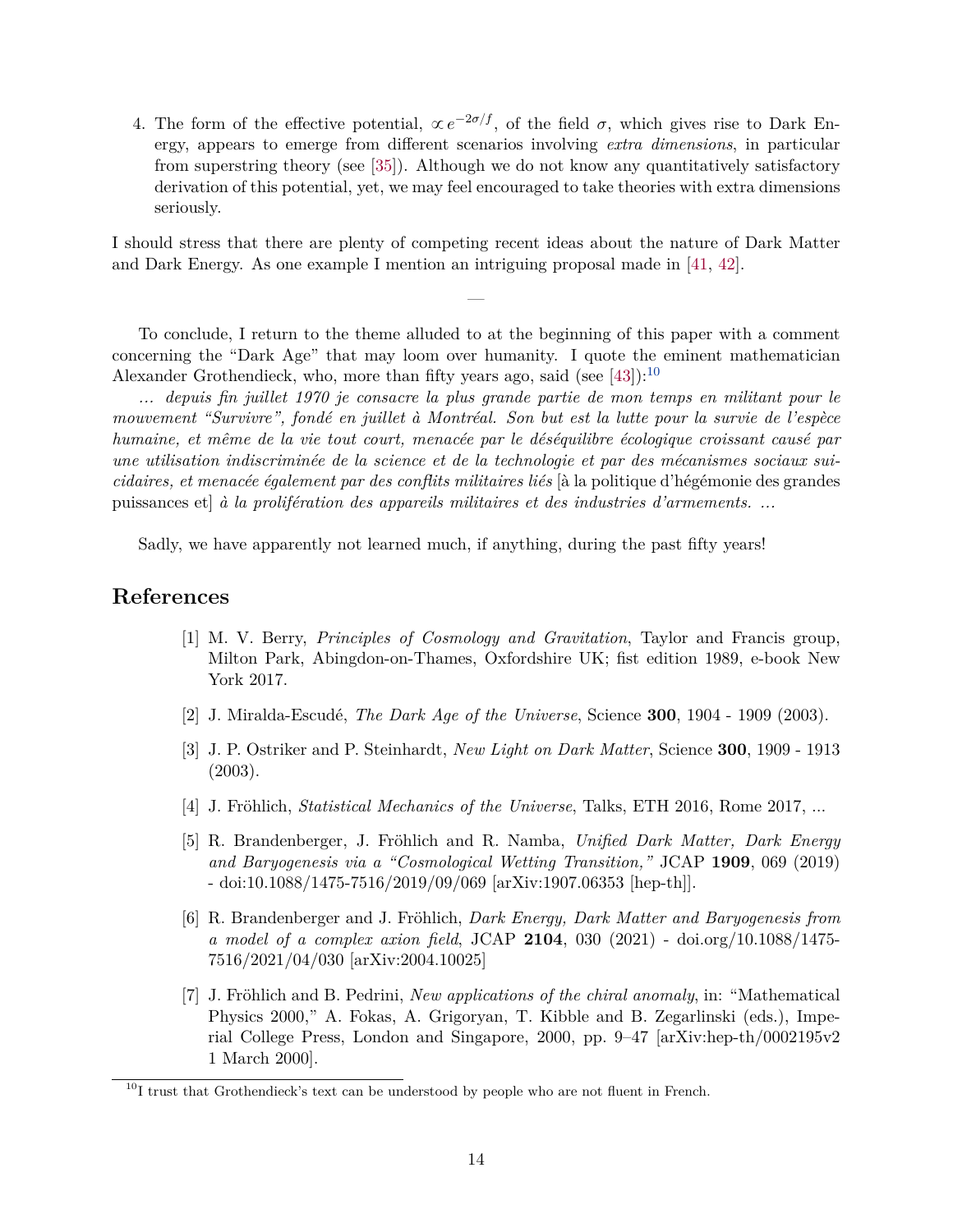4. The form of the effective potential,  $\propto e^{-2\sigma/f}$ , of the field  $\sigma$ , which gives rise to Dark Energy, appears to emerge from different scenarios involving *extra dimensions*, in particular from superstring theory (see [\[35\]](#page-15-10)). Although we do not know any quantitatively satisfactory derivation of this potential, yet, we may feel encouraged to take theories with extra dimensions seriously.

I should stress that there are plenty of competing recent ideas about the nature of Dark Matter and Dark Energy. As one example I mention an intriguing proposal made in [\[41,](#page-16-1) [42\]](#page-16-2).

—

To conclude, I return to the theme alluded to at the beginning of this paper with a comment concerning the "Dark Age" that may loom over humanity. I quote the eminent mathematician Alexander Grothendieck, who, more than fifty years ago, said (see [\[43\]](#page-16-3)):<sup>[10](#page-13-7)</sup>

*... depuis fin juillet 1970 je consacre la plus grande partie de mon temps en militant pour le mouvement "Survivre", fondé en juillet à Montréal. Son but est la lutte pour la survie de l'espèce humaine, et même de la vie tout court, menacée par le déséquilibre écologique croissant causé par une utilisation indiscriminée de la science et de la technologie et par des mécanismes sociaux suicidaires, et menacée également par des conflits militaires liés* [à la politique d'hégémonie des grandes puissances et] *à la prolifération des appareils militaires et des industries d'armements. ...*

Sadly, we have apparently not learned much, if anything, during the past fifty years!

### <span id="page-13-0"></span>**References**

- [1] M. V. Berry, *Principles of Cosmology and Gravitation*, Taylor and Francis group, Milton Park, Abingdon-on-Thames, Oxfordshire UK; fist edition 1989, e-book New York 2017.
- <span id="page-13-1"></span>[2] J. Miralda-Escudé, *The Dark Age of the Universe*, Science **300**, 1904 - 1909 (2003).
- <span id="page-13-2"></span>[3] J. P. Ostriker and P. Steinhardt, *New Light on Dark Matter*, Science **300**, 1909 - 1913 (2003).
- <span id="page-13-3"></span>[4] J. Fröhlich, *Statistical Mechanics of the Universe*, Talks, ETH 2016, Rome 2017, ...
- <span id="page-13-4"></span>[5] R. Brandenberger, J. Fröhlich and R. Namba, *Unified Dark Matter, Dark Energy and Baryogenesis via a "Cosmological Wetting Transition,"* JCAP **1909**, 069 (2019) - doi:10.1088/1475-7516/2019/09/069 [arXiv:1907.06353 [hep-th]].
- <span id="page-13-5"></span>[6] R. Brandenberger and J. Fröhlich, *Dark Energy, Dark Matter and Baryogenesis from a model of a complex axion field*, JCAP **2104**, 030 (2021) - doi.org/10.1088/1475- 7516/2021/04/030 [arXiv:2004.10025]
- <span id="page-13-6"></span>[7] J. Fröhlich and B. Pedrini, *New applications of the chiral anomaly*, in: "Mathematical Physics 2000," A. Fokas, A. Grigoryan, T. Kibble and B. Zegarlinski (eds.), Imperial College Press, London and Singapore, 2000, pp. 9–47 [arXiv:hep-th/0002195v2 1 March 2000].

<span id="page-13-7"></span> $10$ I trust that Grothendieck's text can be understood by people who are not fluent in French.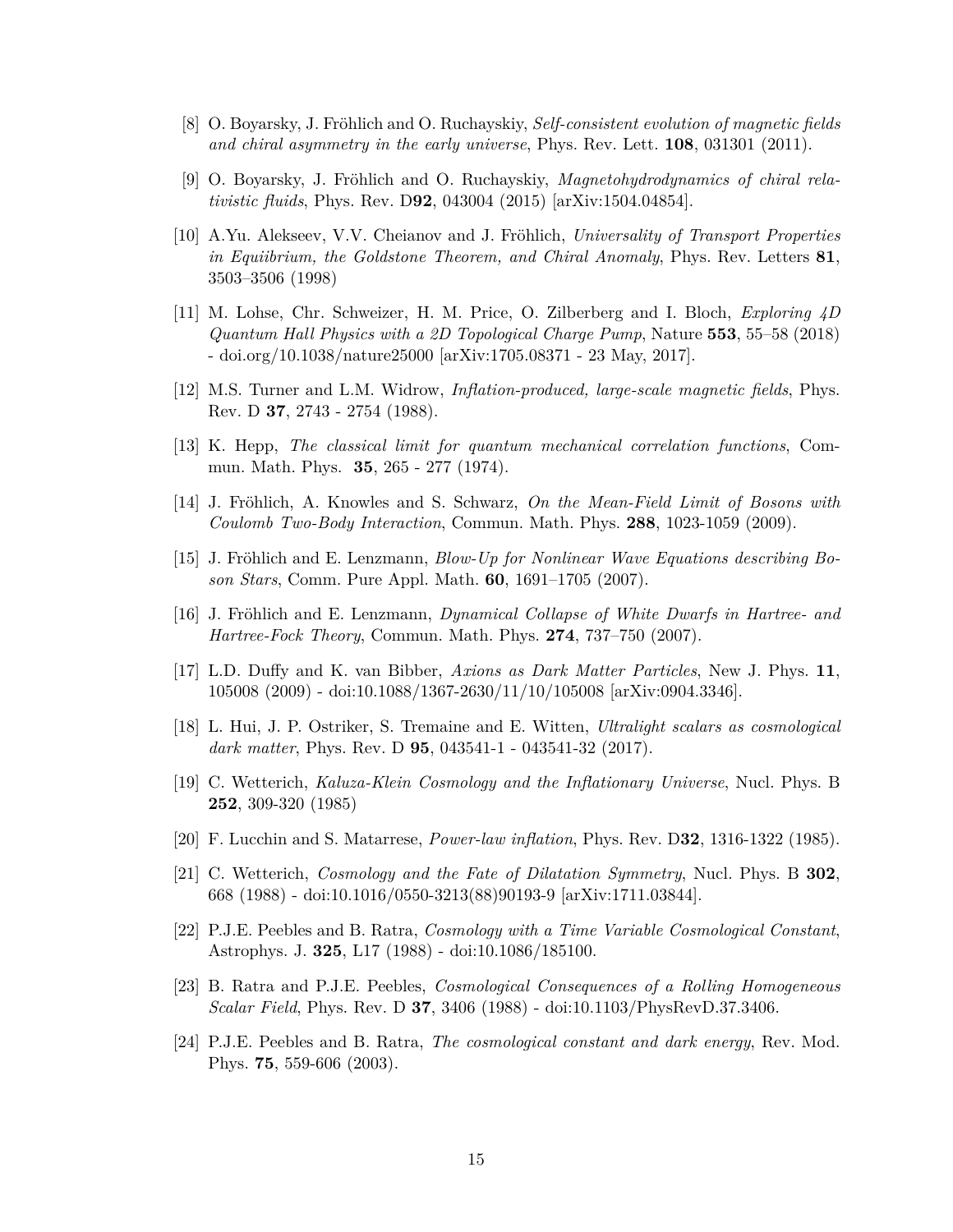- <span id="page-14-0"></span>[8] O. Boyarsky, J. Fröhlich and O. Ruchayskiy, *Self-consistent evolution of magnetic fields and chiral asymmetry in the early universe*, Phys. Rev. Lett. **108**, 031301 (2011).
- <span id="page-14-1"></span>[9] O. Boyarsky, J. Fröhlich and O. Ruchayskiy, *Magnetohydrodynamics of chiral relativistic fluids*, Phys. Rev. D**92**, 043004 (2015) [arXiv:1504.04854].
- <span id="page-14-2"></span>[10] A.Yu. Alekseev, V.V. Cheianov and J. Fröhlich, *Universality of Transport Properties in Equiibrium, the Goldstone Theorem, and Chiral Anomaly*, Phys. Rev. Letters **81**, 3503–3506 (1998)
- <span id="page-14-3"></span>[11] M. Lohse, Chr. Schweizer, H. M. Price, O. Zilberberg and I. Bloch, *Exploring 4D Quantum Hall Physics with a 2D Topological Charge Pump*, Nature **553**, 55–58 (2018) - doi.org/10.1038/nature25000 [arXiv:1705.08371 - 23 May, 2017].
- <span id="page-14-4"></span>[12] M.S. Turner and L.M. Widrow, *Inflation-produced, large-scale magnetic fields*, Phys. Rev. D **37**, 2743 - 2754 (1988).
- <span id="page-14-5"></span>[13] K. Hepp, *The classical limit for quantum mechanical correlation functions*, Commun. Math. Phys. **35**, 265 - 277 (1974).
- <span id="page-14-6"></span>[14] J. Fröhlich, A. Knowles and S. Schwarz, *On the Mean-Field Limit of Bosons with Coulomb Two-Body Interaction*, Commun. Math. Phys. **288**, 1023-1059 (2009).
- <span id="page-14-7"></span>[15] J. Fröhlich and E. Lenzmann, *Blow-Up for Nonlinear Wave Equations describing Boson Stars*, Comm. Pure Appl. Math. **60**, 1691–1705 (2007).
- <span id="page-14-8"></span>[16] J. Fröhlich and E. Lenzmann, *Dynamical Collapse of White Dwarfs in Hartree- and Hartree-Fock Theory*, Commun. Math. Phys. **274**, 737–750 (2007).
- <span id="page-14-9"></span>[17] L.D. Duffy and K. van Bibber, *Axions as Dark Matter Particles*, New J. Phys. **11**, 105008 (2009) - doi:10.1088/1367-2630/11/10/105008 [arXiv:0904.3346].
- <span id="page-14-10"></span>[18] L. Hui, J. P. Ostriker, S. Tremaine and E. Witten, *Ultralight scalars as cosmological dark matter*, Phys. Rev. D **95**, 043541-1 - 043541-32 (2017).
- <span id="page-14-11"></span>[19] C. Wetterich, *Kaluza-Klein Cosmology and the Inflationary Universe*, Nucl. Phys. B **252**, 309-320 (1985)
- <span id="page-14-12"></span>[20] F. Lucchin and S. Matarrese, *Power-law inflation*, Phys. Rev. D**32**, 1316-1322 (1985).
- <span id="page-14-13"></span>[21] C. Wetterich, *Cosmology and the Fate of Dilatation Symmetry*, Nucl. Phys. B **302**, 668 (1988) - doi:10.1016/0550-3213(88)90193-9 [arXiv:1711.03844].
- <span id="page-14-14"></span>[22] P.J.E. Peebles and B. Ratra, *Cosmology with a Time Variable Cosmological Constant*, Astrophys. J. **325**, L17 (1988) - doi:10.1086/185100.
- <span id="page-14-15"></span>[23] B. Ratra and P.J.E. Peebles, *Cosmological Consequences of a Rolling Homogeneous Scalar Field*, Phys. Rev. D **37**, 3406 (1988) - doi:10.1103/PhysRevD.37.3406.
- <span id="page-14-16"></span>[24] P.J.E. Peebles and B. Ratra, *The cosmological constant and dark energy*, Rev. Mod. Phys. **75**, 559-606 (2003).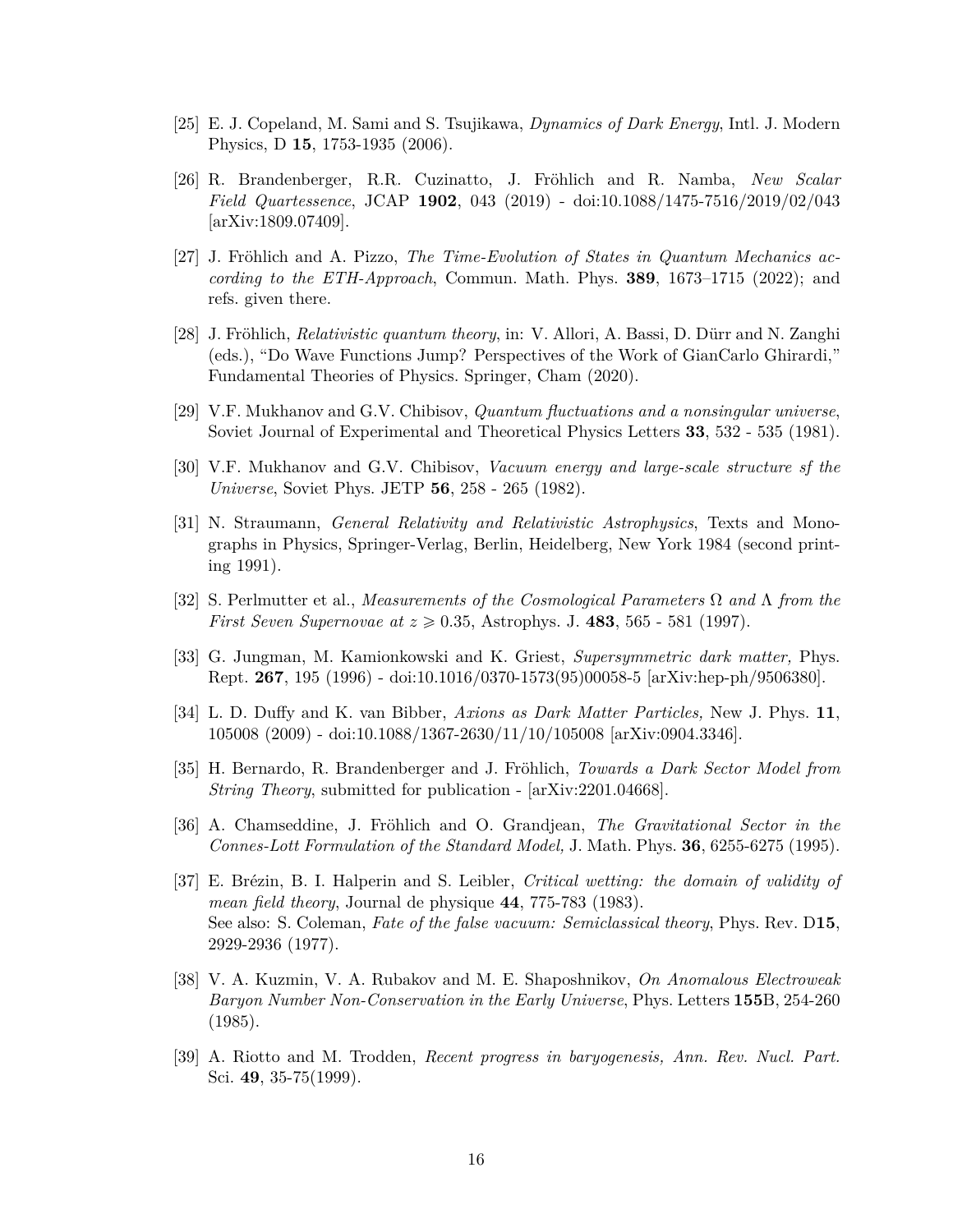- <span id="page-15-0"></span>[25] E. J. Copeland, M. Sami and S. Tsujikawa, *Dynamics of Dark Energy*, Intl. J. Modern Physics, D **15**, 1753-1935 (2006).
- <span id="page-15-1"></span>[26] R. Brandenberger, R.R. Cuzinatto, J. Fröhlich and R. Namba, *New Scalar Field Quartessence*, JCAP **1902**, 043 (2019) - doi:10.1088/1475-7516/2019/02/043 [arXiv:1809.07409].
- <span id="page-15-2"></span>[27] J. Fröhlich and A. Pizzo, *The Time-Evolution of States in Quantum Mechanics according to the ETH-Approach*, Commun. Math. Phys. **389**, 1673–1715 (2022); and refs. given there.
- <span id="page-15-3"></span>[28] J. Fröhlich, *Relativistic quantum theory*, in: V. Allori, A. Bassi, D. Dürr and N. Zanghi (eds.), "Do Wave Functions Jump? Perspectives of the Work of GianCarlo Ghirardi," Fundamental Theories of Physics. Springer, Cham (2020).
- <span id="page-15-4"></span>[29] V.F. Mukhanov and G.V. Chibisov, *Quantum fluctuations and a nonsingular universe*, Soviet Journal of Experimental and Theoretical Physics Letters **33**, 532 - 535 (1981).
- <span id="page-15-5"></span>[30] V.F. Mukhanov and G.V. Chibisov, *Vacuum energy and large-scale structure sf the Universe*, Soviet Phys. JETP **56**, 258 - 265 (1982).
- <span id="page-15-6"></span>[31] N. Straumann, *General Relativity and Relativistic Astrophysics*, Texts and Monographs in Physics, Springer-Verlag, Berlin, Heidelberg, New York 1984 (second printing 1991).
- <span id="page-15-7"></span>[32] S. Perlmutter et al., *Measurements of the Cosmological Parameters* Ω *and* Λ *from the First Seven Supernovae at*  $z \ge 0.35$ , Astrophys. J. **483**, 565 - 581 (1997).
- <span id="page-15-8"></span>[33] G. Jungman, M. Kamionkowski and K. Griest, *Supersymmetric dark matter,* Phys. Rept. **267**, 195 (1996) - doi:10.1016/0370-1573(95)00058-5 [arXiv:hep-ph/9506380].
- <span id="page-15-9"></span>[34] L. D. Duffy and K. van Bibber, *Axions as Dark Matter Particles,* New J. Phys. **11**, 105008 (2009) - doi:10.1088/1367-2630/11/10/105008 [arXiv:0904.3346].
- <span id="page-15-10"></span>[35] H. Bernardo, R. Brandenberger and J. Fröhlich, *Towards a Dark Sector Model from String Theory*, submitted for publication - [arXiv:2201.04668].
- <span id="page-15-12"></span>[36] A. Chamseddine, J. Fröhlich and O. Grandjean, *The Gravitational Sector in the Connes-Lott Formulation of the Standard Model,* J. Math. Phys. **36**, 6255-6275 (1995).
- <span id="page-15-11"></span>[37] E. Brézin, B. I. Halperin and S. Leibler, *Critical wetting: the domain of validity of mean field theory*, Journal de physique **44**, 775-783 (1983). See also: S. Coleman, *Fate of the false vacuum: Semiclassical theory*, Phys. Rev. D**15**, 2929-2936 (1977).
- <span id="page-15-13"></span>[38] V. A. Kuzmin, V. A. Rubakov and M. E. Shaposhnikov, *On Anomalous Electroweak Baryon Number Non-Conservation in the Early Universe*, Phys. Letters **155**B, 254-260 (1985).
- <span id="page-15-14"></span>[39] A. Riotto and M. Trodden, *Recent progress in baryogenesis, Ann. Rev. Nucl. Part.* Sci. **49**, 35-75(1999).